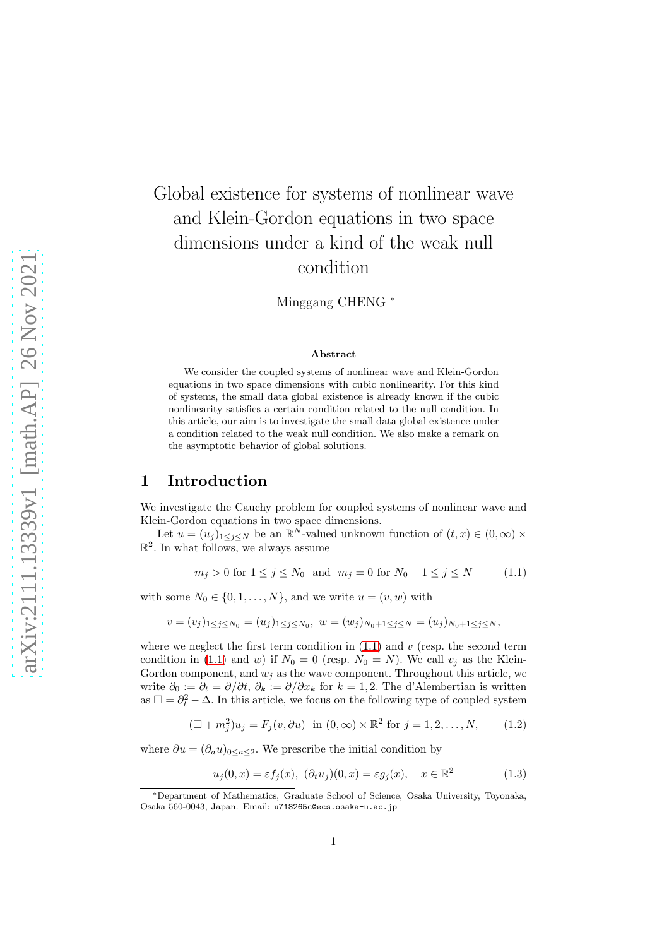# Global existence for systems of nonlinear wave and Klein-Gordon equations in two space dimensions under a kind of the weak null condition

Minggang CHENG <sup>∗</sup>

#### <span id="page-0-0"></span>Abstract

We consider the coupled systems of nonlinear wave and Klein-Gordon equations in two space dimensions with cubic nonlinearity. For this kind of systems, the small data global existence is already known if the cubic nonlinearity satisfies a certain condition related to the null condition. In this article, our aim is to investigate the small data global existence under a condition related to the weak null condition. We also make a remark on the asymptotic behavior of global solutions.

## 1 Introduction

We investigate the Cauchy problem for coupled systems of nonlinear wave and Klein-Gordon equations in two space dimensions.

Let  $u = (u_j)_{1 \leq j \leq N}$  be an  $\mathbb{R}^N$ -valued unknown function of  $(t, x) \in (0, \infty) \times$  $\mathbb{R}^2$ . In what follows, we always assume

$$
m_j > 0
$$
 for  $1 \le j \le N_0$  and  $m_j = 0$  for  $N_0 + 1 \le j \le N$  (1.1)

with some  $N_0 \in \{0, 1, \ldots, N\}$ , and we write  $u = (v, w)$  with

$$
v = (v_j)_{1 \leq j \leq N_0} = (u_j)_{1 \leq j \leq N_0}, \ w = (w_j)_{N_0 + 1 \leq j \leq N} = (u_j)_{N_0 + 1 \leq j \leq N},
$$

where we neglect the first term condition in  $(1.1)$  and v (resp. the second term condition in [\(1.1\)](#page-0-0) and w) if  $N_0 = 0$  (resp.  $N_0 = N$ ). We call  $v_j$  as the Klein-Gordon component, and  $w_j$  as the wave component. Throughout this article, we write  $\partial_0 := \partial_t = \partial/\partial t$ ,  $\partial_k := \partial/\partial x_k$  for  $k = 1, 2$ . The d'Alembertian is written as  $\Box = \partial_t^2 - \Delta$ . In this article, we focus on the following type of coupled system

$$
(\Box + m_j^2)u_j = F_j(v, \partial u) \text{ in } (0, \infty) \times \mathbb{R}^2 \text{ for } j = 1, 2, \dots, N,
$$
 (1.2)

where  $\partial u = (\partial_a u)_{0 \le a \le 2}$ . We prescribe the initial condition by

<span id="page-0-2"></span><span id="page-0-1"></span>
$$
u_j(0, x) = \varepsilon f_j(x), \quad (\partial_t u_j)(0, x) = \varepsilon g_j(x), \quad x \in \mathbb{R}^2 \tag{1.3}
$$

<sup>∗</sup>Department of Mathematics, Graduate School of Science, Osaka University, Toyonaka, Osaka 560-0043, Japan. Email: u718265c@ecs.osaka-u.ac.jp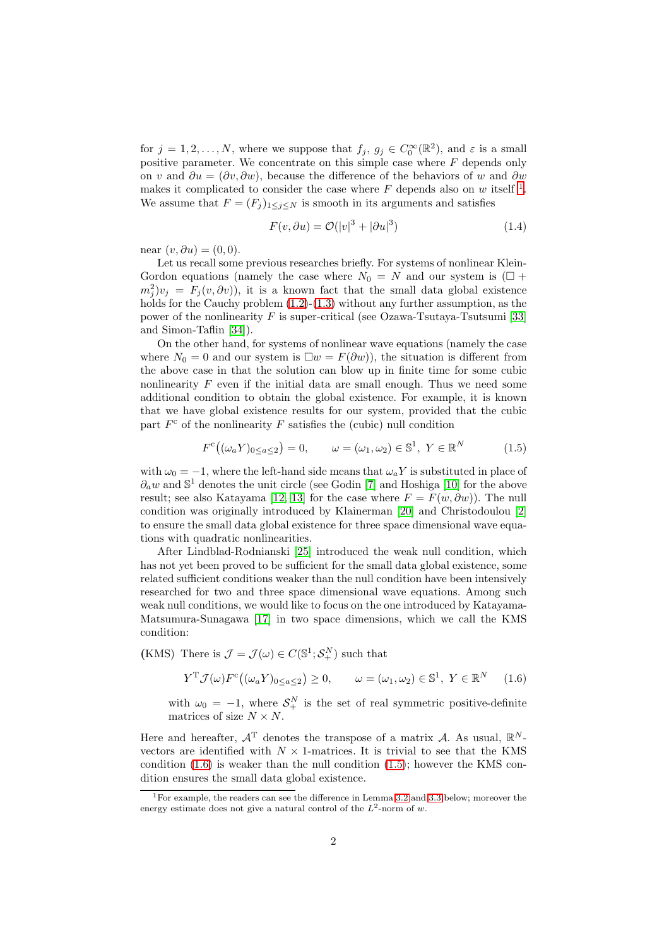for  $j = 1, 2, ..., N$ , where we suppose that  $f_j, g_j \in C_0^{\infty}(\mathbb{R}^2)$ , and  $\varepsilon$  is a small positive parameter. We concentrate on this simple case where  $F$  depends only on v and  $\partial u = (\partial v, \partial w)$ , because the difference of the behaviors of w and  $\partial w$ makes it complicated to consider the case where  $F$  depends also on  $w$  itself <sup>[1](#page-1-0)</sup>. We assume that  $F = (F_j)_{1 \leq j \leq N}$  is smooth in its arguments and satisfies

$$
F(v, \partial u) = \mathcal{O}(|v|^3 + |\partial u|^3)
$$
\n(1.4)

near  $(v, \partial u) = (0, 0)$ .

Let us recall some previous researches briefly. For systems of nonlinear Klein-Gordon equations (namely the case where  $N_0 = N$  and our system is  $(\Box +$  $(m_j^2)v_j = F_j(v, \partial v)$ , it is a known fact that the small data global existence holds for the Cauchy problem  $(1.2)-(1.3)$  $(1.2)-(1.3)$  without any further assumption, as the power of the nonlinearity  $F$  is super-critical (see Ozawa-Tsutaya-Tsutsumi [\[33\]](#page-22-0) and Simon-Taflin [\[34\]](#page-23-0)).

On the other hand, for systems of nonlinear wave equations (namely the case where  $N_0 = 0$  and our system is  $\square w = F(\partial w)$ , the situation is different from the above case in that the solution can blow up in finite time for some cubic nonlinearity  $F$  even if the initial data are small enough. Thus we need some additional condition to obtain the global existence. For example, it is known that we have global existence results for our system, provided that the cubic part  $F<sup>c</sup>$  of the nonlinearity  $F$  satisfies the (cubic) null condition

<span id="page-1-2"></span>
$$
F^{c}\big((\omega_{a}Y)_{0\leq a\leq 2}\big)=0, \qquad \omega=(\omega_{1},\omega_{2})\in\mathbb{S}^{1},\ Y\in\mathbb{R}^{N} \tag{1.5}
$$

with  $\omega_0 = -1$ , where the left-hand side means that  $\omega_a Y$  is substituted in place of  $\partial_a w$  and  $\mathbb{S}^1$  denotes the unit circle (see Godin [\[7\]](#page-21-0) and Hoshiga [\[10\]](#page-21-1) for the above result; see also Katayama [\[12,](#page-21-2) [13\]](#page-21-3) for the case where  $F = F(w, \partial w)$ . The null condition was originally introduced by Klainerman [\[20\]](#page-22-1) and Christodoulou [\[2\]](#page-20-0) to ensure the small data global existence for three space dimensional wave equations with quadratic nonlinearities.

After Lindblad-Rodnianski [\[25\]](#page-22-2) introduced the weak null condition, which has not yet been proved to be sufficient for the small data global existence, some related sufficient conditions weaker than the null condition have been intensively researched for two and three space dimensional wave equations. Among such weak null conditions, we would like to focus on the one introduced by Katayama-Matsumura-Sunagawa [\[17\]](#page-21-4) in two space dimensions, which we call the KMS condition:

(KMS) There is  $\mathcal{J} = \mathcal{J}(\omega) \in C(\mathbb{S}^1; \mathcal{S}_+^N)$  such that

<span id="page-1-1"></span>
$$
Y^{\mathrm{T}}\mathcal{J}(\omega)F^{\mathrm{c}}\big((\omega_a Y)_{0\leq a\leq 2}\big)\geq 0, \qquad \omega=(\omega_1,\omega_2)\in\mathbb{S}^1, \ Y\in\mathbb{R}^N \tag{1.6}
$$

with  $\omega_0 = -1$ , where  $S_+^N$  is the set of real symmetric positive-definite matrices of size  $N \times N$ .

Here and hereafter,  $A<sup>T</sup>$  denotes the transpose of a matrix A. As usual,  $\mathbb{R}^{N}$ vectors are identified with  $N \times 1$ -matrices. It is trivial to see that the KMS condition  $(1.6)$  is weaker than the null condition  $(1.5)$ ; however the KMS condition ensures the small data global existence.

<span id="page-1-0"></span><sup>1</sup>For example, the readers can see the difference in Lemma [3.2](#page-6-0) and [3.3](#page-6-1) below; moreover the energy estimate does not give a natural control of the  $L^2$ -norm of w.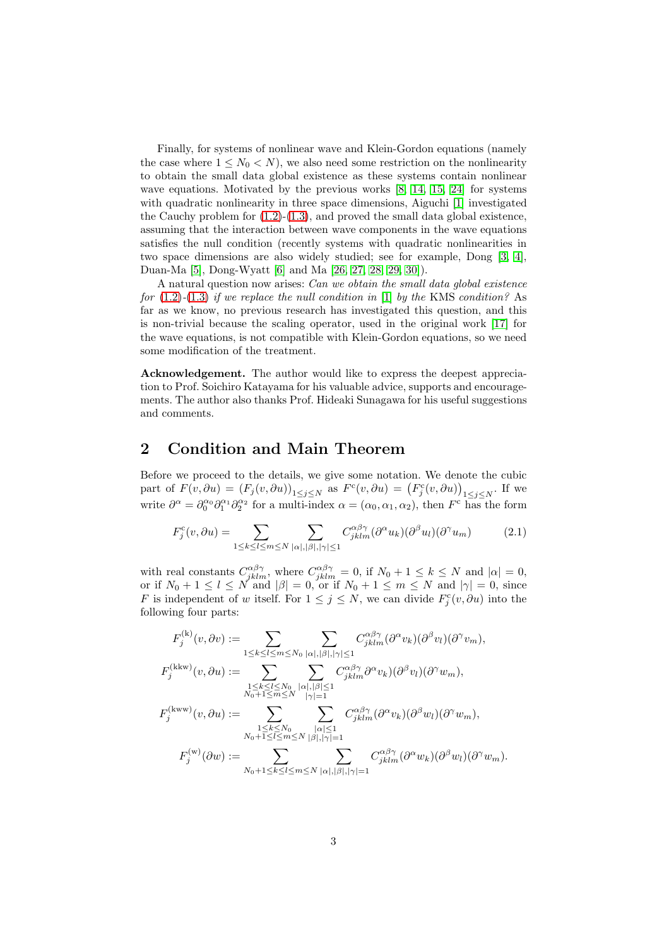Finally, for systems of nonlinear wave and Klein-Gordon equations (namely the case where  $1 \leq N_0 \lt N$ , we also need some restriction on the nonlinearity to obtain the small data global existence as these systems contain nonlinear wave equations. Motivated by the previous works [\[8,](#page-21-5) [14,](#page-21-6) [15,](#page-21-7) [24\]](#page-22-3) for systems with quadratic nonlinearity in three space dimensions, Aiguchi [\[1\]](#page-20-1) investigated the Cauchy problem for  $(1.2)-(1.3)$  $(1.2)-(1.3)$ , and proved the small data global existence, assuming that the interaction between wave components in the wave equations satisfies the null condition (recently systems with quadratic nonlinearities in two space dimensions are also widely studied; see for example, Dong [\[3,](#page-21-8) [4\]](#page-21-9), Duan-Ma [\[5\]](#page-21-10), Dong-Wyatt [\[6\]](#page-21-11) and Ma [\[26,](#page-22-4) [27,](#page-22-5) [28,](#page-22-6) [29,](#page-22-7) [30\]](#page-22-8)).

A natural question now arises: *Can we obtain the small data global existence for* [\(1.2\)](#page-0-1)*-*[\(1.3\)](#page-0-2) *if we replace the null condition in* [\[1\]](#page-20-1) *by the* KMS *condition?* As far as we know, no previous research has investigated this question, and this is non-trivial because the scaling operator, used in the original work [\[17\]](#page-21-4) for the wave equations, is not compatible with Klein-Gordon equations, so we need some modification of the treatment.

Acknowledgement. The author would like to express the deepest appreciation to Prof. Soichiro Katayama for his valuable advice, supports and encouragements. The author also thanks Prof. Hideaki Sunagawa for his useful suggestions and comments.

## 2 Condition and Main Theorem

Before we proceed to the details, we give some notation. We denote the cubic part of  $F(v, \partial u) = (F_j(v, \partial u))_{1 \leq j \leq N}$  as  $F^c(v, \partial u) = (F^c_j(v, \partial u))_{1 \leq j \leq N}$ . If we write  $\partial^{\alpha} = \partial_0^{\alpha_0} \partial_1^{\alpha_1} \partial_2^{\alpha_2}$  for a multi-index  $\alpha = (\alpha_0, \alpha_1, \alpha_2)$ , then  $F^c$  has the form

$$
F_j^c(v, \partial u) = \sum_{1 \le k \le l \le m \le N} \sum_{|\alpha|, |\beta|, |\gamma| \le 1} C_{jklm}^{\alpha \beta \gamma} (\partial^{\alpha} u_k)(\partial^{\beta} u_l)(\partial^{\gamma} u_m)
$$
(2.1)

with real constants  $C_{jklm}^{\alpha\beta\gamma}$ , where  $C_{jklm}^{\alpha\beta\gamma} = 0$ , if  $N_0 + 1 \le k \le N$  and  $|\alpha| = 0$ , or if  $N_0 + 1 \leq l \leq N$  and  $|\beta| = 0$ , or if  $N_0 + 1 \leq m \leq N$  and  $|\gamma| = 0$ , since F is independent of w itself. For  $1 \leq j \leq N$ , we can divide  $F_j^c(v, \partial u)$  into the following four parts:

$$
\begin{split} F_j^{(\mathbf{k})}(v,\partial v) &:= \sum_{1 \leq k \leq l \leq m \leq N_0}\sum_{|\alpha|,|\beta|,|\gamma| \leq 1}C_{jklm}^{\alpha\beta\gamma}(\partial^{\alpha}v_k)(\partial^{\beta}v_l)(\partial^{\gamma}v_m),\\ F_j^{(\mathbf{kkw})}(v,\partial u) &:= \sum_{\substack{1 \leq k \leq l \leq N_0\\N_0+1 \leq m \leq N}}\sum_{|\alpha|,|\beta| \leq 1}C_{jklm}^{\alpha\beta\gamma}\partial^{\alpha}v_k)(\partial^{\beta}v_l)(\partial^{\gamma}w_m),\\ F_j^{(\mathbf{kww})}(v,\partial u) &:= \sum_{\substack{1 \leq k \leq N_0\\N_0+1 \leq l \leq m \leq N}}\sum_{\substack{|\alpha| \leq 1\\|\beta|,|\gamma| = 1}}C_{jklm}^{\alpha\beta\gamma}(\partial^{\alpha}v_k)(\partial^{\beta}w_l)(\partial^{\gamma}w_m),\\ F_j^{(\mathbf{w})}(\partial w) &:= \sum_{N_0+1 \leq k \leq l \leq m \leq N}\sum_{|\alpha|,|\beta|,|\gamma| = 1}C_{jklm}^{\alpha\beta\gamma}(\partial^{\alpha}w_k)(\partial^{\beta}w_l)(\partial^{\gamma}w_m). \end{split}
$$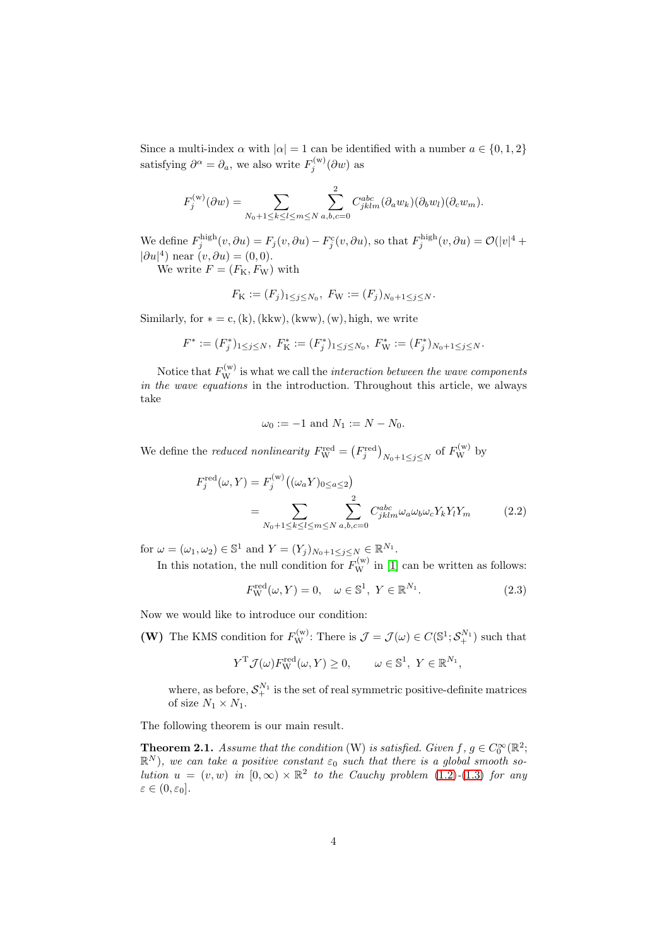Since a multi-index  $\alpha$  with  $|\alpha| = 1$  can be identified with a number  $a \in \{0, 1, 2\}$ satisfying  $\partial^{\alpha} = \partial_{a}$ , we also write  $F_j^{(w)}(\partial w)$  as

$$
F_j^{(w)}(\partial w) = \sum_{N_0+1 \le k \le l \le m \le N} \sum_{a,b,c=0}^2 C_{jklm}^{abc} (\partial_a w_k)(\partial_b w_l)(\partial_c w_m).
$$

We define  $F_j^{\text{high}}(v, \partial u) = F_j(v, \partial u) - F_j^c(v, \partial u)$ , so that  $F_j^{\text{high}}(v, \partial u) = \mathcal{O}(|v|^4 +$  $|\partial u|^4$  near  $(v, \partial u) = (0, 0)$ .

We write  $F = (F_{\rm K}, F_{\rm W})$  with

$$
F_{\mathcal{K}} := (F_j)_{1 \le j \le N_0}, \ F_{\mathcal{W}} := (F_j)_{N_0 + 1 \le j \le N}.
$$

Similarly, for  $* = c$ , (k), (kkw), (kww), (w), high, we write

$$
F^* := (F_j^*)_{1 \le j \le N}, \ F_K^* := (F_j^*)_{1 \le j \le N_0}, \ F_W^* := (F_j^*)_{N_0 + 1 \le j \le N}.
$$

Notice that  $F_{\rm W}^{(\rm w)}$  is what we call the *interaction between the wave components in the wave equations* in the introduction. Throughout this article, we always take

<span id="page-3-2"></span>
$$
\omega_0 := -1
$$
 and  $N_1 := N - N_0$ .

We define the *reduced nonlinearity*  $F_{\rm W}^{\rm red} = (F_j^{\rm red})_{N_0+1 \leq j \leq N}$  of  $F_{\rm W}^{(\rm w)}$  by

$$
F_j^{\text{red}}(\omega, Y) = F_j^{\text{(w)}}\left((\omega_a Y)_{0 \le a \le 2}\right)
$$
  
= 
$$
\sum_{N_0 + 1 \le k \le l \le m \le N} \sum_{a, b, c = 0}^{2} C_{jklm}^{abc} \omega_a \omega_b \omega_c Y_k Y_l Y_m
$$
 (2.2)

for  $\omega = (\omega_1, \omega_2) \in \mathbb{S}^1$  and  $Y = (Y_j)_{N_0+1 \le j \le N} \in \mathbb{R}^{N_1}$ .

In this notation, the null condition for  $F_{\rm W}^{(w)}$  in [\[1\]](#page-20-1) can be written as follows:

<span id="page-3-0"></span>
$$
F_{\mathbf{W}}^{\text{red}}(\omega, Y) = 0, \quad \omega \in \mathbb{S}^1, \ Y \in \mathbb{R}^{N_1}.
$$
 (2.3)

Now we would like to introduce our condition:

(W) The KMS condition for  $F_{\rm W}^{(w)}$ : There is  $\mathcal{J} = \mathcal{J}(\omega) \in C(\mathbb{S}^1; \mathcal{S}_+^{N_1})$  such that

$$
Y^{\mathrm{T}}\mathcal{J}(\omega)F_{\mathrm{W}}^{\mathrm{red}}(\omega, Y) \ge 0, \qquad \omega \in \mathbb{S}^1, \ Y \in \mathbb{R}^{N_1},
$$

where, as before,  $S^{N_1}_{+}$  is the set of real symmetric positive-definite matrices of size  $N_1 \times N_1$ .

The following theorem is our main result.

<span id="page-3-1"></span>**Theorem 2.1.** Assume that the condition (W) is satisfied. Given  $f, g \in C_0^{\infty}(\mathbb{R}^2;$  $\mathbb{R}^N$ ), we can take a positive constant  $\varepsilon_0$  such that there is a global smooth so*lution*  $u = (v, w)$  *in*  $[0, \infty) \times \mathbb{R}^2$  *to the Cauchy problem* [\(1.2\)](#page-0-1)*-*[\(1.3\)](#page-0-2) *for any*  $\varepsilon \in (0, \varepsilon_0].$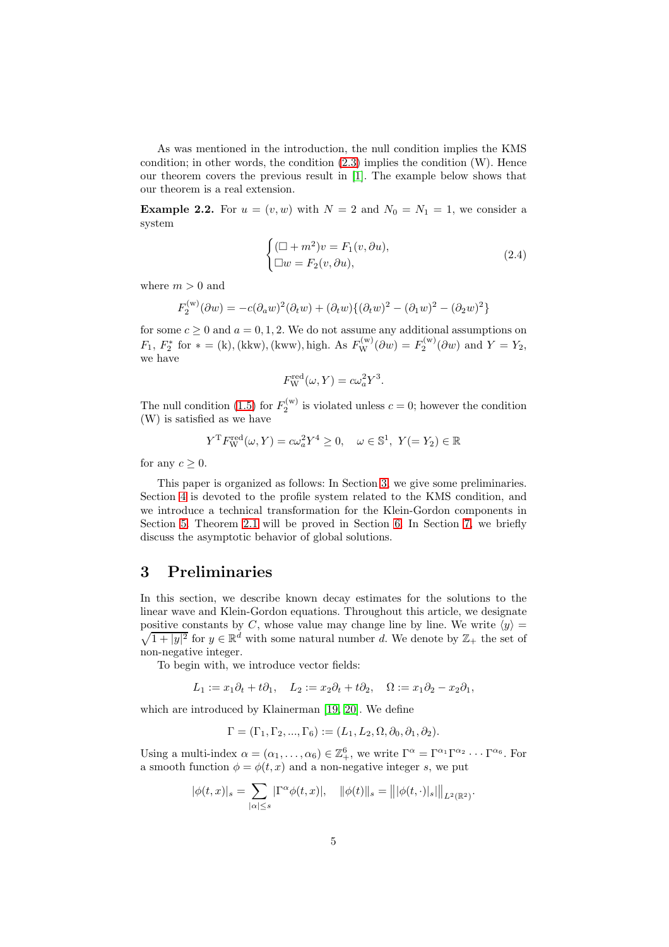As was mentioned in the introduction, the null condition implies the KMS condition; in other words, the condition  $(2.3)$  implies the condition  $(W)$ . Hence our theorem covers the previous result in [\[1\]](#page-20-1). The example below shows that our theorem is a real extension.

<span id="page-4-2"></span>**Example 2.2.** For  $u = (v, w)$  with  $N = 2$  and  $N_0 = N_1 = 1$ , we consider a system

<span id="page-4-1"></span>
$$
\begin{cases} (\Box + m^2)v = F_1(v, \partial u), \\ \Box w = F_2(v, \partial u), \end{cases}
$$
 (2.4)

where  $m > 0$  and

$$
F_2^{(w)}(\partial w) = -c(\partial_a w)^2(\partial_t w) + (\partial_t w)\{(\partial_t w)^2 - (\partial_1 w)^2 - (\partial_2 w)^2\}
$$

for some  $c \ge 0$  and  $a = 0, 1, 2$ . We do not assume any additional assumptions on  $F_1, F_2^*$  for  $* = (k)$ , (kkw), (kww), high. As  $F_W^{(w)}(\partial w) = F_2^{(w)}(\partial w)$  and  $Y = Y_2$ , we have

$$
F_{\rm W}^{\rm red}(\omega, Y) = c\omega_a^2 Y^3.
$$

The null condition [\(1.5\)](#page-1-2) for  $F_2^{(w)}$  is violated unless  $c = 0$ ; however the condition (W) is satisfied as we have

$$
Y^{\mathrm{T}} F_{\mathrm{W}}^{\mathrm{red}}(\omega, Y) = c\omega_a^2 Y^4 \ge 0, \quad \omega \in \mathbb{S}^1, \ Y(= Y_2) \in \mathbb{R}
$$

for any  $c \geq 0$ .

This paper is organized as follows: In Section [3,](#page-4-0) we give some preliminaries. Section [4](#page-7-0) is devoted to the profile system related to the KMS condition, and we introduce a technical transformation for the Klein-Gordon components in Section [5.](#page-13-0) Theorem [2.1](#page-3-1) will be proved in Section [6.](#page-14-0) In Section [7,](#page-19-0) we briefly discuss the asymptotic behavior of global solutions.

## <span id="page-4-0"></span>3 Preliminaries

In this section, we describe known decay estimates for the solutions to the linear wave and Klein-Gordon equations. Throughout this article, we designate positive constants by positive constants by C, whose value may change line by line. We write  $\langle y \rangle = \sqrt{1+|y|^2}$  for  $y \in \mathbb{R}^d$  with some natural number d. We denote by  $\mathbb{Z}_+$  the set of  $\overline{1+|y|^2}$  for  $y \in \mathbb{R}^d$  with some natural number d. We denote by  $\mathbb{Z}_+$  the set of non-negative integer.

To begin with, we introduce vector fields:

 $L_1 := x_1 \partial_t + t \partial_1$ ,  $L_2 := x_2 \partial_t + t \partial_2$ ,  $\Omega := x_1 \partial_2 - x_2 \partial_1$ ,

which are introduced by Klainerman [\[19,](#page-22-9) [20\]](#page-22-1). We define

$$
\Gamma = (\Gamma_1, \Gamma_2, ..., \Gamma_6) := (L_1, L_2, \Omega, \partial_0, \partial_1, \partial_2).
$$

Using a multi-index  $\alpha = (\alpha_1, \ldots, \alpha_6) \in \mathbb{Z}_+^6$ , we write  $\Gamma^{\alpha} = \Gamma^{\alpha_1} \Gamma^{\alpha_2} \cdots \Gamma^{\alpha_6}$ . For a smooth function  $\phi = \phi(t, x)$  and a non-negative integer s, we put

$$
|\phi(t,x)|_s = \sum_{|\alpha| \le s} |\Gamma^{\alpha} \phi(t,x)|, \quad ||\phi(t)||_s = |||\phi(t,\cdot)|_s||_{L^2(\mathbb{R}^2)}.
$$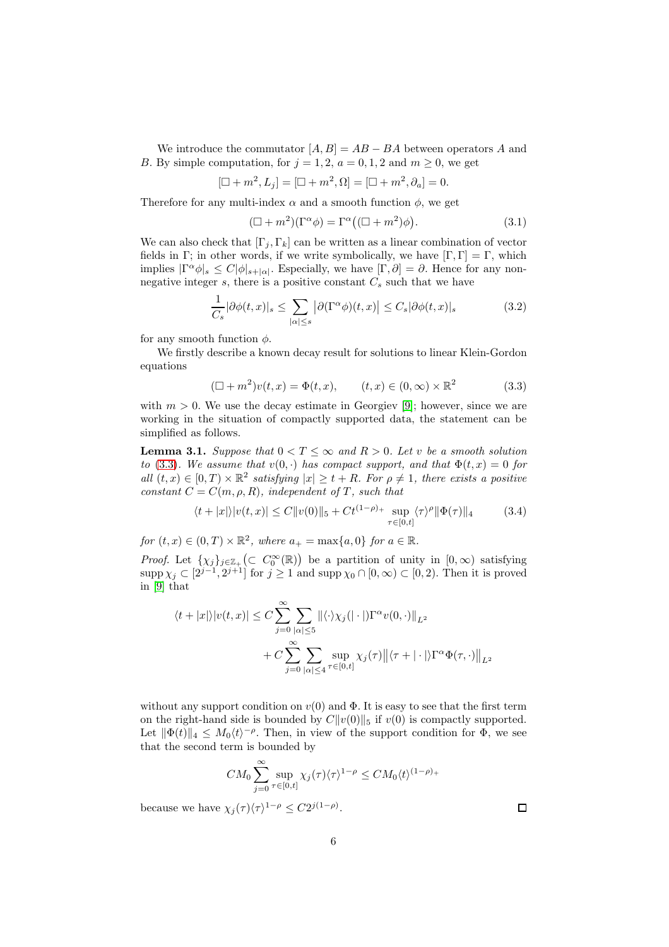We introduce the commutator  $[A, B] = AB - BA$  between operators A and B. By simple computation, for  $j = 1, 2, a = 0, 1, 2$  and  $m \ge 0$ , we get

$$
[\Box + m^2, L_j] = [\Box + m^2, \Omega] = [\Box + m^2, \partial_a] = 0.
$$

Therefore for any multi-index  $\alpha$  and a smooth function  $\phi$ , we get

<span id="page-5-2"></span><span id="page-5-1"></span>
$$
(\Box + m^2)(\Gamma^{\alpha} \phi) = \Gamma^{\alpha}((\Box + m^2)\phi). \tag{3.1}
$$

We can also check that  $[\Gamma_i, \Gamma_k]$  can be written as a linear combination of vector fields in Γ; in other words, if we write symbolically, we have  $[\Gamma, \Gamma] = \Gamma$ , which implies  $|\Gamma^{\alpha}\phi|_{s} \leq C|\phi|_{s+|\alpha|}$ . Especially, we have  $[\Gamma, \partial] = \partial$ . Hence for any nonnegative integer s, there is a positive constant  $C_s$  such that we have

$$
\frac{1}{C_s} |\partial \phi(t, x)|_s \le \sum_{|\alpha| \le s} |\partial (\Gamma^{\alpha} \phi)(t, x)| \le C_s |\partial \phi(t, x)|_s \tag{3.2}
$$

for any smooth function  $\phi$ .

We firstly describe a known decay result for solutions to linear Klein-Gordon equations

<span id="page-5-0"></span>
$$
(\Box + m^2)v(t, x) = \Phi(t, x), \qquad (t, x) \in (0, \infty) \times \mathbb{R}^2 \tag{3.3}
$$

with  $m > 0$ . We use the decay estimate in Georgiev [\[9\]](#page-21-12); however, since we are working in the situation of compactly supported data, the statement can be simplified as follows.

<span id="page-5-3"></span>**Lemma 3.1.** *Suppose that*  $0 < T < \infty$  *and*  $R > 0$ *. Let v be a smooth solution to* [\(3.3\)](#page-5-0)*. We assume that*  $v(0, \cdot)$  *has compact support, and that*  $\Phi(t, x) = 0$  *for* all  $(t, x) \in [0, T) \times \mathbb{R}^2$  satisfying  $|x| \ge t + R$ *. For*  $\rho \ne 1$ *, there exists a positive constant*  $C = C(m, \rho, R)$ *, independent of* T*, such that* 

$$
\langle t+|x|\rangle |v(t,x)| \le C \|v(0)\|_5 + Ct^{(1-\rho)+} \sup_{\tau \in [0,t]} \langle \tau \rangle^{\rho} \| \Phi(\tau) \|_4 \tag{3.4}
$$

*for*  $(t, x) \in (0, T) \times \mathbb{R}^2$ , where  $a_+ = \max\{a, 0\}$  for  $a \in \mathbb{R}$ .

*Proof.* Let  $\{\chi_j\}_{j\in\mathbb{Z}_+}$  ( $\subset C_0^{\infty}(\mathbb{R})$ ) be a partition of unity in  $[0,\infty)$  satisfying  $\supp \chi_j \subset [2^{j-1}, 2^{j+1}]$  for  $j \ge 1$  and  $\supp \chi_0 \cap [0, \infty) \subset [0, 2)$ . Then it is proved in [\[9\]](#page-21-12) that

$$
\langle t+|x|\rangle |v(t,x)| \leq C \sum_{j=0}^{\infty} \sum_{|\alpha|\leq 5} ||\langle \cdot \rangle \chi_j(||\cdot||) \Gamma^{\alpha} v(0,\cdot)||_{L^2} + C \sum_{j=0}^{\infty} \sum_{|\alpha|\leq 4} \sup_{\tau \in [0,t]} \chi_j(\tau) ||\langle \tau + |\cdot|| \rangle \Gamma^{\alpha} \Phi(\tau,\cdot)||_{L^2}
$$

without any support condition on  $v(0)$  and  $\Phi$ . It is easy to see that the first term on the right-hand side is bounded by  $C||v(0)||_5$  if  $v(0)$  is compactly supported. Let  $\|\Phi(t)\|_4 \leq M_0 \langle t \rangle^{-\rho}$ . Then, in view of the support condition for  $\Phi$ , we see that the second term is bounded by

$$
CM_0 \sum_{j=0}^{\infty} \sup_{\tau \in [0,t]} \chi_j(\tau) \langle \tau \rangle^{1-\rho} \le CM_0 \langle t \rangle^{(1-\rho)+}
$$

because we have  $\chi_j(\tau) \langle \tau \rangle^{1-\rho} \leq C 2^{j(1-\rho)}$ .

 $\Box$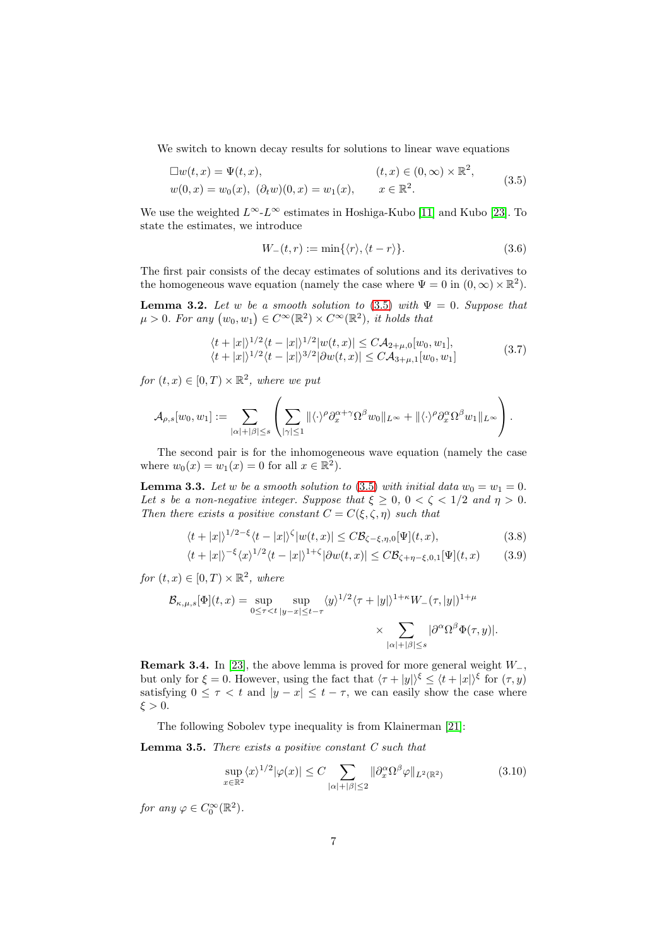We switch to known decay results for solutions to linear wave equations

$$
\Box w(t, x) = \Psi(t, x), \qquad (t, x) \in (0, \infty) \times \mathbb{R}^2, \n w(0, x) = w_0(x), \ (\partial_t w)(0, x) = w_1(x), \qquad x \in \mathbb{R}^2.
$$
\n(3.5)

We use the weighted  $L^{\infty}L^{\infty}$  estimates in Hoshiga-Kubo [\[11\]](#page-21-13) and Kubo [\[23\]](#page-22-10). To state the estimates, we introduce

<span id="page-6-2"></span>
$$
W_{-}(t,r) := \min\{\langle r\rangle, \langle t-r\rangle\}.
$$
\n(3.6)

The first pair consists of the decay estimates of solutions and its derivatives to the homogeneous wave equation (namely the case where  $\Psi = 0$  in  $(0, \infty) \times \mathbb{R}^2$ ).

<span id="page-6-0"></span>**Lemma 3.2.** *Let* w *be a smooth solution to* [\(3.5\)](#page-6-2) *with*  $\Psi = 0$ *. Suppose that*  $\mu > 0$ *. For any*  $(w_0, w_1) \in C^{\infty}(\mathbb{R}^2) \times C^{\infty}(\mathbb{R}^2)$ *, it holds that* 

$$
\langle t+|x|\rangle^{1/2}\langle t-|x|\rangle^{1/2}|w(t,x)| \leq C\mathcal{A}_{2+\mu,0}[w_0,w_1],\langle t+|x|\rangle^{1/2}\langle t-|x|\rangle^{3/2}|\partial w(t,x)| \leq C\mathcal{A}_{3+\mu,1}[w_0,w_1]
$$
\n(3.7)

 $for (t, x) \in [0, T) \times \mathbb{R}^2$ , where we put

$$
\mathcal{A}_{\rho,s}[w_0,w_1]:=\sum_{|\alpha|+|\beta|\leq s}\left(\sum_{|\gamma|\leq 1}\|\langle \cdot \rangle^{\rho}\partial_x^{\alpha+\gamma}\Omega^{\beta}w_0\|_{L^{\infty}}+\|\langle \cdot \rangle^{\rho}\partial_x^{\alpha}\Omega^{\beta}w_1\|_{L^{\infty}}\right).
$$

The second pair is for the inhomogeneous wave equation (namely the case where  $w_0(x) = w_1(x) = 0$  for all  $x \in \mathbb{R}^2$ .

<span id="page-6-1"></span>**Lemma 3.3.** Let w be a smooth solution to [\(3.5\)](#page-6-2) with initial data  $w_0 = w_1 = 0$ . *Let* s *be a non-negative integer. Suppose that*  $\xi \geq 0$ ,  $0 < \zeta < 1/2$  *and*  $\eta > 0$ *. Then there exists a positive constant*  $C = C(\xi, \zeta, \eta)$  *such that* 

$$
\langle t+|x|\rangle^{1/2-\xi}\langle t-|x|\rangle^{\zeta}|w(t,x)| \leq C\mathcal{B}_{\zeta-\xi,\eta,0}[\Psi](t,x),\tag{3.8}
$$

$$
\langle t+|x|\rangle^{-\xi}\langle x\rangle^{1/2}\langle t-|x|\rangle^{1+\zeta}|\partial w(t,x)| \leq C \mathcal{B}_{\zeta+\eta-\xi,0,1}[\Psi](t,x) \qquad (3.9)
$$

*for*  $(t, x) \in [0, T) \times \mathbb{R}^2$ , where

$$
\mathcal{B}_{\kappa,\mu,s}[\Phi](t,x) = \sup_{0 \le \tau < t} \sup_{|y-x| \le t-\tau} \langle y \rangle^{1/2} \langle \tau + |y| \rangle^{1+\kappa} W_{-}(\tau,|y|)^{1+\mu} \times \sum_{|\alpha|+|\beta| \le s} |\partial^{\alpha} \Omega^{\beta} \Phi(\tau,y)|.
$$

**Remark 3.4.** In [\[23\]](#page-22-10), the above lemma is proved for more general weight  $W_-\,$ , but only for  $\xi = 0$ . However, using the fact that  $\langle \tau + |y| \rangle^{\xi} \le \langle t + |x| \rangle^{\xi}$  for  $(\tau, y)$ satisfying  $0 \leq \tau < t$  and  $|y - x| \leq t - \tau$ , we can easily show the case where  $\xi > 0$ .

The following Sobolev type inequality is from Klainerman [\[21\]](#page-22-11):

<span id="page-6-3"></span>Lemma 3.5. *There exists a positive constant C such that*

$$
\sup_{x \in \mathbb{R}^2} \langle x \rangle^{1/2} |\varphi(x)| \le C \sum_{|\alpha| + |\beta| \le 2} ||\partial_x^{\alpha} \Omega^{\beta} \varphi||_{L^2(\mathbb{R}^2)} \tag{3.10}
$$

*for any*  $\varphi \in C_0^{\infty}(\mathbb{R}^2)$ *.*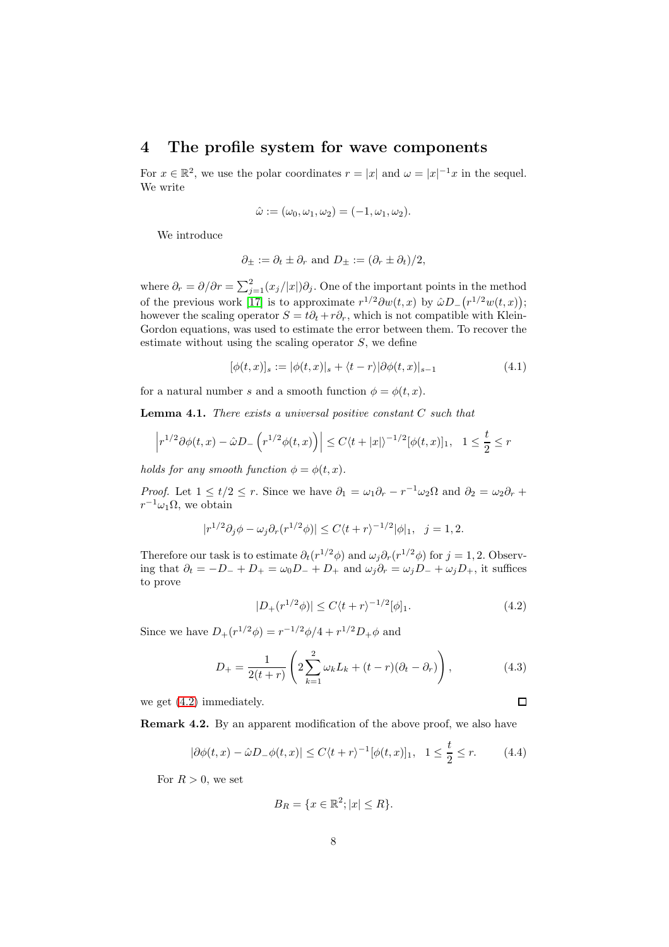### <span id="page-7-0"></span>4 The profile system for wave components

For  $x \in \mathbb{R}^2$ , we use the polar coordinates  $r = |x|$  and  $\omega = |x|^{-1}x$  in the sequel. We write

$$
\hat{\omega} := (\omega_0, \omega_1, \omega_2) = (-1, \omega_1, \omega_2).
$$

We introduce

$$
\partial_{\pm} := \partial_t \pm \partial_r
$$
 and  $D_{\pm} := (\partial_r \pm \partial_t)/2$ ,

where  $\partial_r = \partial/\partial r = \sum_{j=1}^2 (x_j/|x|) \partial_j$ . One of the important points in the method of the previous work [\[17\]](#page-21-4) is to approximate  $r^{1/2}\partial w(t,x)$  by  $\hat{\omega}D_-(r^{1/2}w(t,x));$ however the scaling operator  $S = t\partial_t + r\partial_r$ , which is not compatible with Klein-Gordon equations, was used to estimate the error between them. To recover the estimate without using the scaling operator  $S$ , we define

$$
[\phi(t,x)]_s := |\phi(t,x)|_s + \langle t-r \rangle |\partial \phi(t,x)|_{s-1}
$$
\n(4.1)

for a natural number s and a smooth function  $\phi = \phi(t, x)$ .

<span id="page-7-2"></span>Lemma 4.1. *There exists a universal positive constant* C *such that*

$$
\left|r^{1/2}\partial \phi(t,x) -\hat{\omega}D_-\left(r^{1/2}\phi(t,x)\right)\right|\leq C\langle t+|x|\rangle^{-1/2}[\phi(t,x)]_1, \quad 1\leq \frac{t}{2}\leq r
$$

*holds for any smooth function*  $\phi = \phi(t, x)$ *.* 

*Proof.* Let  $1 \le t/2 \le r$ . Since we have  $\partial_1 = \omega_1 \partial_r - r^{-1} \omega_2 \Omega$  and  $\partial_2 = \omega_2 \partial_r +$  $r^{-1}\omega_1\Omega$ , we obtain

$$
|r^{1/2}\partial_j\phi - \omega_j\partial_r(r^{1/2}\phi)| \le C\langle t+r\rangle^{-1/2}|\phi|_1, \ \ j=1,2.
$$

Therefore our task is to estimate  $\partial_t (r^{1/2} \phi)$  and  $\omega_j \partial_r (r^{1/2} \phi)$  for  $j = 1, 2$ . Observing that  $\partial_t = -D_- + D_+ = \omega_0 D_- + D_+$  and  $\omega_j \partial_r = \omega_j D_- + \omega_j D_+$ , it suffices to prove

$$
|D_{+}(r^{1/2}\phi)| \le C\langle t+r\rangle^{-1/2}[\phi]_1.
$$
 (4.2)

<span id="page-7-3"></span><span id="page-7-1"></span> $\Box$ 

Since we have  $D_{+}(r^{1/2}\phi) = r^{-1/2}\phi/4 + r^{1/2}D_{+}\phi$  and

$$
D_{+} = \frac{1}{2(t+r)} \left( 2 \sum_{k=1}^{2} \omega_{k} L_{k} + (t-r)(\partial_{t} - \partial_{r}) \right),
$$
 (4.3)

we get [\(4.2\)](#page-7-1) immediately.

Remark 4.2. By an apparent modification of the above proof, we also have

$$
|\partial \phi(t,x) - \hat{\omega}D_-\phi(t,x)| \le C\langle t+r\rangle^{-1}[\phi(t,x)]_1, \quad 1 \le \frac{t}{2} \le r. \tag{4.4}
$$

For  $R > 0$ , we set

$$
B_R = \{x \in \mathbb{R}^2; |x| \le R\}.
$$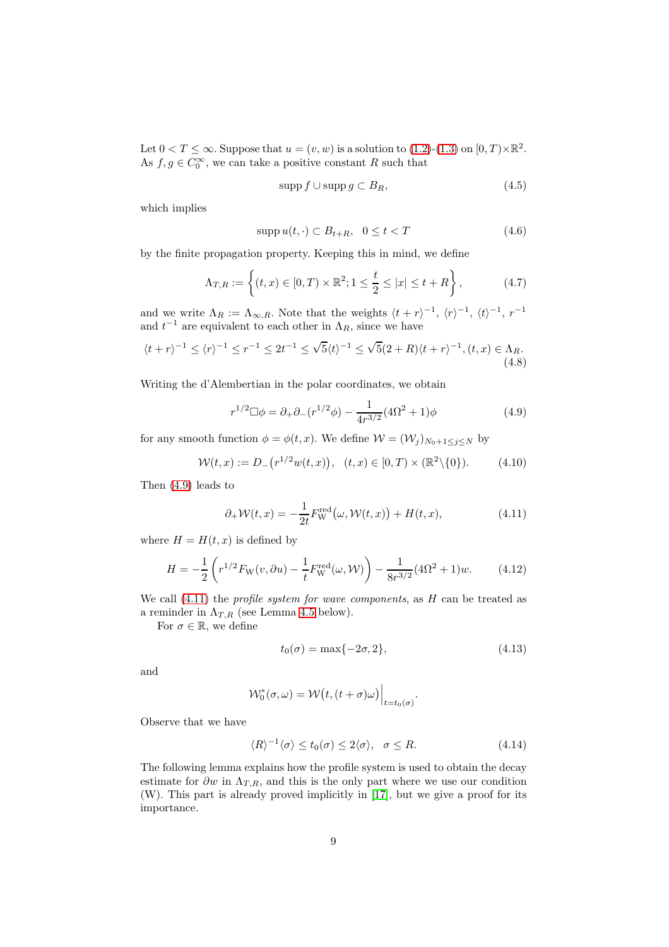Let  $0 < T \leq \infty$ . Suppose that  $u = (v, w)$  is a solution to  $(1.2)$ - $(1.3)$  on  $[0, T) \times \mathbb{R}^2$ . As  $f, g \in C_0^{\infty}$ , we can take a positive constant R such that

<span id="page-8-5"></span><span id="page-8-4"></span><span id="page-8-3"></span>
$$
supp f \cup supp g \subset B_R,\tag{4.5}
$$

which implies

$$
supp u(t, \cdot) \subset B_{t+R}, \ \ 0 \le t < T \tag{4.6}
$$

by the finite propagation property. Keeping this in mind, we define

$$
\Lambda_{T,R} := \left\{ (t,x) \in [0,T) \times \mathbb{R}^2; 1 \le \frac{t}{2} \le |x| \le t + R \right\},\tag{4.7}
$$

and we write  $\Lambda_R := \Lambda_{\infty,R}$ . Note that the weights  $\langle t + r \rangle^{-1}$ ,  $\langle r \rangle^{-1}$ ,  $\langle t \rangle^{-1}$ ,  $r^{-1}$ and  $t^{-1}$  are equivalent to each other in  $\Lambda_R$ , since we have

$$
\langle t+r\rangle^{-1} \leq \langle r\rangle^{-1} \leq r^{-1} \leq 2t^{-1} \leq \sqrt{5}\langle t\rangle^{-1} \leq \sqrt{5}(2+R)\langle t+r\rangle^{-1}, (t,x) \in \Lambda_R.
$$
\n
$$
(4.8)
$$

Writing the d'Alembertian in the polar coordinates, we obtain

<span id="page-8-2"></span><span id="page-8-0"></span>
$$
r^{1/2} \Box \phi = \partial_+ \partial_- (r^{1/2} \phi) - \frac{1}{4r^{3/2}} (4\Omega^2 + 1)\phi \tag{4.9}
$$

for any smooth function  $\phi = \phi(t, x)$ . We define  $\mathcal{W} = (\mathcal{W}_i)_{N_0+1 \le i \le N}$  by

$$
\mathcal{W}(t,x) := D_{-}(r^{1/2}w(t,x)), \quad (t,x) \in [0,T) \times (\mathbb{R}^{2} \setminus \{0\}). \tag{4.10}
$$

Then [\(4.9\)](#page-8-0) leads to

$$
\partial_+ \mathcal{W}(t, x) = -\frac{1}{2t} F_{\mathcal{W}}^{\text{red}}(\omega, \mathcal{W}(t, x)) + H(t, x), \tag{4.11}
$$

where  $H = H(t, x)$  is defined by

$$
H = -\frac{1}{2} \left( r^{1/2} F_{\mathcal{W}}(v, \partial u) - \frac{1}{t} F_{\mathcal{W}}^{\text{red}}(\omega, \mathcal{W}) \right) - \frac{1}{8r^{3/2}} (4\Omega^2 + 1) w.
$$
 (4.12)

We call [\(4.11\)](#page-8-1) the *profile system for wave components*, as H can be treated as a reminder in  $\Lambda_{T,R}$  (see Lemma [4.5](#page-11-0) below).

For  $\sigma \in \mathbb{R}$ , we define

<span id="page-8-6"></span><span id="page-8-1"></span>
$$
t_0(\sigma) = \max\{-2\sigma, 2\},\tag{4.13}
$$

and

$$
\mathcal{W}_0^*(\sigma,\omega)=\mathcal{W}\big(t,(t+\sigma)\omega\big)\Big|_{t=t_0(\sigma)}.
$$

Observe that we have

$$
\langle R \rangle^{-1} \langle \sigma \rangle \le t_0(\sigma) \le 2 \langle \sigma \rangle, \quad \sigma \le R. \tag{4.14}
$$

The following lemma explains how the profile system is used to obtain the decay estimate for  $\partial w$  in  $\Lambda_{T,R}$ , and this is the only part where we use our condition (W). This part is already proved implicitly in [\[17\]](#page-21-4), but we give a proof for its importance.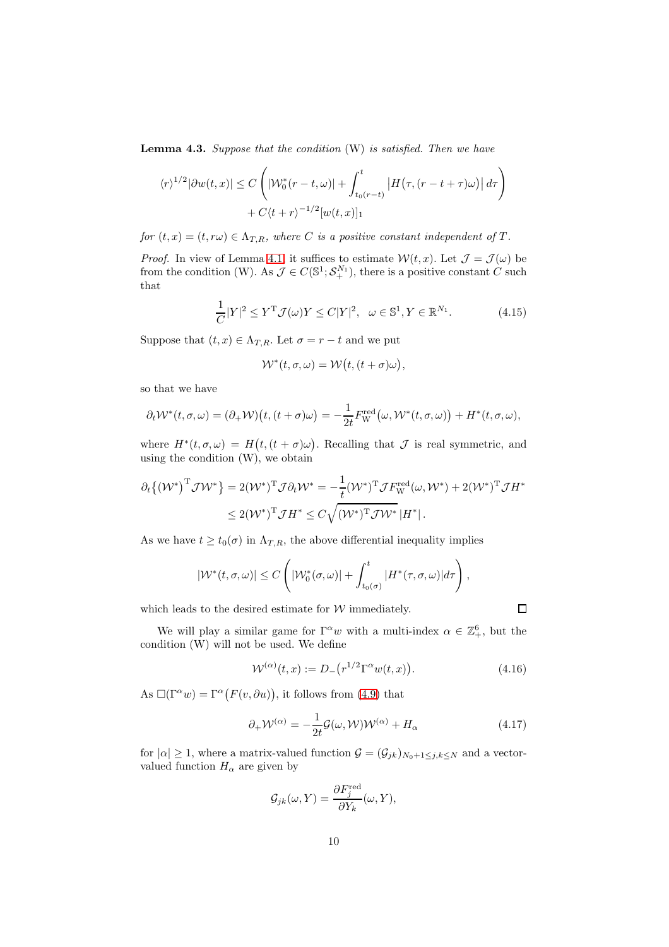<span id="page-9-1"></span>Lemma 4.3. *Suppose that the condition* (W) *is satisfied. Then we have*

$$
\langle r \rangle^{1/2} |\partial w(t, x)| \le C \left( |\mathcal{W}_0^*(r - t, \omega)| + \int_{t_0(r - t)}^t |H(\tau, (r - t + \tau)\omega)| d\tau \right) + C\langle t + r \rangle^{-1/2} [w(t, x)]_1
$$

*for*  $(t, x) = (t, r\omega) \in \Lambda_{T,R}$ *, where C is a positive constant independent of T.* 

*Proof.* In view of Lemma [4.1,](#page-7-2) it suffices to estimate  $W(t, x)$ . Let  $\mathcal{J} = \mathcal{J}(\omega)$  be from the condition (W). As  $\mathcal{J} \in C(\mathbb{S}^1; \mathcal{S}_+^{N_1})$ , there is a positive constant C such that

$$
\frac{1}{C}|Y|^2 \le Y^{\mathrm{T}}\mathcal{J}(\omega)Y \le C|Y|^2, \quad \omega \in \mathbb{S}^1, Y \in \mathbb{R}^{N_1}.
$$
 (4.15)

Suppose that  $(t, x) \in \Lambda_{T,R}$ . Let  $\sigma = r - t$  and we put

$$
\mathcal{W}^*(t,\sigma,\omega)=\mathcal{W}\big(t,(t+\sigma)\omega\big),
$$

so that we have

$$
\partial_t \mathcal{W}^*(t, \sigma, \omega) = (\partial_+ \mathcal{W}) \big( t, (t + \sigma) \omega \big) = -\frac{1}{2t} F_{\mathcal{W}}^{\text{red}} \big( \omega, \mathcal{W}^*(t, \sigma, \omega) \big) + H^*(t, \sigma, \omega),
$$

where  $H^*(t, \sigma, \omega) = H(t, (t + \sigma)\omega)$ . Recalling that  $\mathcal J$  is real symmetric, and using the condition (W), we obtain

$$
\partial_t \left\{ \left( \mathcal{W}^* \right)^{\mathrm{T}} \mathcal{J} \mathcal{W}^* \right\} = 2(\mathcal{W}^*)^{\mathrm{T}} \mathcal{J} \partial_t \mathcal{W}^* = -\frac{1}{t} (\mathcal{W}^*)^{\mathrm{T}} \mathcal{J} F_{\mathrm{W}}^{\mathrm{red}}(\omega, \mathcal{W}^*) + 2(\mathcal{W}^*)^{\mathrm{T}} \mathcal{J} H^* \leq 2(\mathcal{W}^*)^{\mathrm{T}} \mathcal{J} H^* \leq C \sqrt{(\mathcal{W}^*)^{\mathrm{T}} \mathcal{J} \mathcal{W}^*} |H^*|.
$$

As we have  $t \geq t_0(\sigma)$  in  $\Lambda_{T,R}$ , the above differential inequality implies

$$
|\mathcal{W}^*(t,\sigma,\omega)| \leq C \left( |\mathcal{W}_0^*(\sigma,\omega)| + \int_{t_0(\sigma)}^t |H^*(\tau,\sigma,\omega)| d\tau \right),
$$

which leads to the desired estimate for  $W$  immediately.

<span id="page-9-0"></span> $\Box$ 

We will play a similar game for  $\Gamma^{\alpha} w$  with a multi-index  $\alpha \in \mathbb{Z}_+^6$ , but the condition (W) will not be used. We define

$$
\mathcal{W}^{(\alpha)}(t,x) := D_{-}\big(r^{1/2}\Gamma^{\alpha}w(t,x)\big). \tag{4.16}
$$

As  $\square(\Gamma^{\alpha}w) = \Gamma^{\alpha}(F(v, \partial u))$ , it follows from [\(4.9\)](#page-8-0) that

$$
\partial_{+} \mathcal{W}^{(\alpha)} = -\frac{1}{2t} \mathcal{G}(\omega, \mathcal{W}) \mathcal{W}^{(\alpha)} + H_{\alpha} \tag{4.17}
$$

for  $|\alpha| \geq 1$ , where a matrix-valued function  $\mathcal{G} = (\mathcal{G}_{jk})_{N_0+1 \leq j,k \leq N}$  and a vectorvalued function  $H_{\alpha}$  are given by

$$
\mathcal{G}_{jk}(\omega, Y) = \frac{\partial F_j^{\text{red}}}{\partial Y_k}(\omega, Y),
$$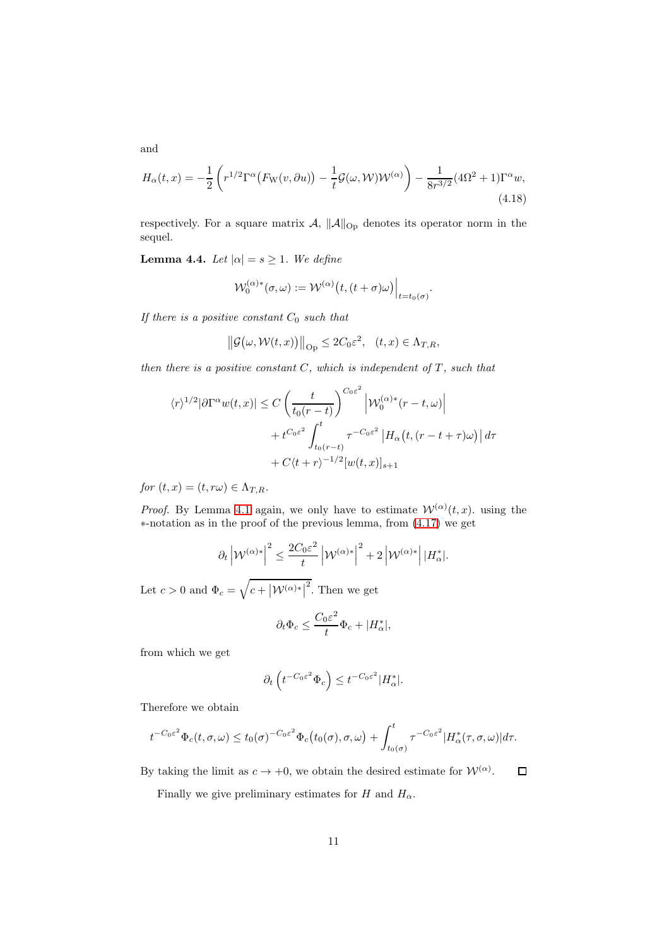and

$$
H_{\alpha}(t,x) = -\frac{1}{2} \left( r^{1/2} \Gamma^{\alpha} \left( F_{\mathcal{W}}(v,\partial u) \right) - \frac{1}{t} \mathcal{G}(\omega,\mathcal{W}) \mathcal{W}^{(\alpha)} \right) - \frac{1}{8r^{3/2}} (4\Omega^2 + 1) \Gamma^{\alpha} w,
$$
\n(4.18)

respectively. For a square matrix  $\mathcal{A}, \|\mathcal{A}\|_{\text{Op}}$  denotes its operator norm in the sequel.

<span id="page-10-0"></span>**Lemma 4.4.** *Let*  $|\alpha| = s \geq 1$ *. We define* 

$$
\mathcal{W}_0^{(\alpha)*}(\sigma,\omega) := \mathcal{W}^{(\alpha)}\big(t,(t+\sigma)\omega\big)\Big|_{t=t_0(\sigma)}.
$$

*If there is a positive constant*  $C_0$  *such that* 

$$
\|\mathcal{G}(\omega,\mathcal{W}(t,x))\|_{\text{Op}} \leq 2C_0\varepsilon^2, \quad (t,x) \in \Lambda_{T,R},
$$

*then there is a positive constant*  $C$ *, which is independent of*  $T$ *, such that* 

$$
\langle r \rangle^{1/2} |\partial \Gamma^{\alpha} w(t, x)| \le C \left( \frac{t}{t_0(r - t)} \right)^{C_0 \varepsilon^2} \left| \mathcal{W}_0^{(\alpha)*} (r - t, \omega) \right|
$$
  
+  $t^{C_0 \varepsilon^2} \int_{t_0(r - t)}^t \tau^{-C_0 \varepsilon^2} \left| H_\alpha \left( t, (r - t + \tau) \omega \right) \right| d\tau$   
+  $C \langle t + r \rangle^{-1/2} [w(t, x)]_{s+1}$ 

*for*  $(t, x) = (t, r\omega) \in \Lambda_{T,R}$ .

*Proof.* By Lemma [4.1](#page-7-2) again, we only have to estimate  $W^{(\alpha)}(t, x)$ . using the ∗-notation as in the proof of the previous lemma, from [\(4.17\)](#page-9-0) we get

$$
\partial_t \left| \mathcal{W}^{(\alpha)*} \right|^2 \leq \frac{2C_0 \varepsilon^2}{t} \left| \mathcal{W}^{(\alpha)*} \right|^2 + 2 \left| \mathcal{W}^{(\alpha)*} \right| |H^*_{\alpha}|.
$$

Let  $c > 0$  and  $\Phi_c = \sqrt{c + |\mathcal{W}^{(\alpha)*}|^2}$ . Then we get

$$
\partial_t \Phi_c \le \frac{C_0 \varepsilon^2}{t} \Phi_c + |H_\alpha^*|,
$$

from which we get

$$
\partial_t \left( t^{-C_0 \varepsilon^2} \Phi_c \right) \leq t^{-C_0 \varepsilon^2} |H_\alpha^*|.
$$

Therefore we obtain

$$
t^{-C_0\varepsilon^2}\Phi_c(t,\sigma,\omega)\leq t_0(\sigma)^{-C_0\varepsilon^2}\Phi_c\big(t_0(\sigma),\sigma,\omega\big)+\int_{t_0(\sigma)}^t\tau^{-C_0\varepsilon^2}|H^*_{\alpha}(\tau,\sigma,\omega)|d\tau.
$$

By taking the limit as  $c \to +0$ , we obtain the desired estimate for  $\mathcal{W}^{(\alpha)}$ .  $\Box$ 

Finally we give preliminary estimates for H and  $H_{\alpha}$ .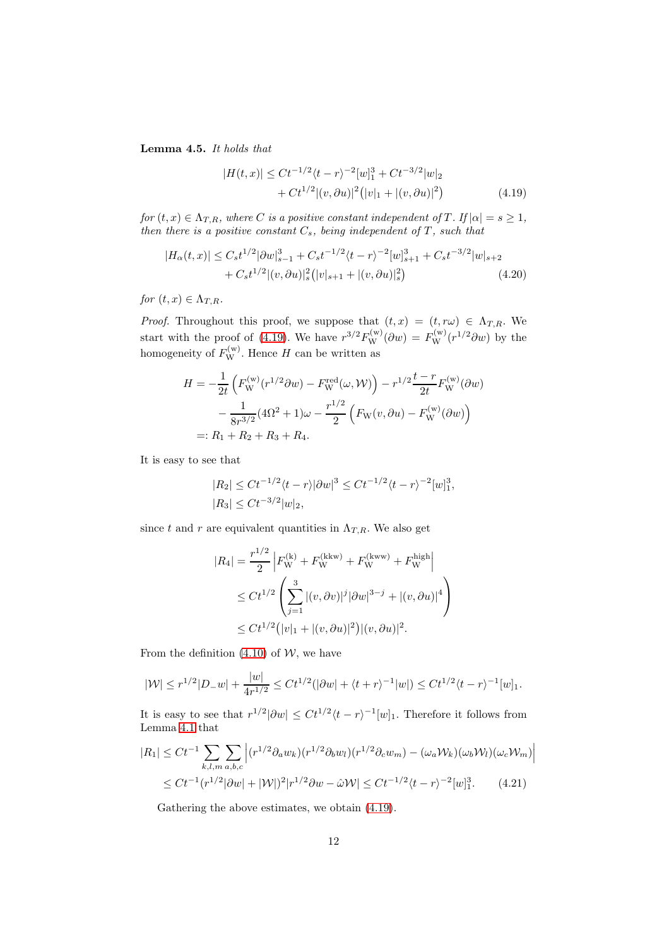<span id="page-11-0"></span>Lemma 4.5. *It holds that*

<span id="page-11-2"></span><span id="page-11-1"></span>
$$
|H(t,x)| \leq Ct^{-1/2}\langle t-r\rangle^{-2}[w]_1^3 + Ct^{-3/2}|w|_2
$$
  
+  $Ct^{1/2}|(v,\partial u)|^2(|v|_1 + |(v,\partial u)|^2)$  (4.19)

*for*  $(t, x) \in \Lambda_{T,R}$ *, where C is a positive constant independent of T. If*  $|\alpha| = s \geq 1$ *, then there is a positive constant*  $C_s$ *, being independent of*  $T$ *, such that* 

$$
|H_{\alpha}(t,x)| \leq C_s t^{1/2} |\partial w|_{s-1}^3 + C_s t^{-1/2} \langle t-r \rangle^{-2} [w]_{s+1}^3 + C_s t^{-3/2} |w|_{s+2} + C_s t^{1/2} |(v, \partial u)|_s^2 (|v|_{s+1} + |(v, \partial u)|_s^2)
$$
(4.20)

*for*  $(t, x) \in \Lambda_{T,R}$ *.* 

*Proof.* Throughout this proof, we suppose that  $(t, x) = (t, r\omega) \in \Lambda_{T,R}$ . We start with the proof of [\(4.19\)](#page-11-1). We have  $r^{3/2}F_{\rm W}^{(w)}(\partial w) = F_{\rm W}^{(w)}(r^{1/2}\partial w)$  by the homogeneity of  $F_{\rm W}^{(w)}$ . Hence H can be written as

$$
H = -\frac{1}{2t} \left( F_{\mathbf{W}}^{(\mathbf{w})}(r^{1/2} \partial w) - F_{\mathbf{W}}^{\text{red}}(\omega, \mathcal{W}) \right) - r^{1/2} \frac{t - r}{2t} F_{\mathbf{W}}^{(\mathbf{w})}(\partial w) - \frac{1}{8r^{3/2}} (4\Omega^2 + 1)\omega - \frac{r^{1/2}}{2} \left( F_{\mathbf{W}}(v, \partial u) - F_{\mathbf{W}}^{(\mathbf{w})}(\partial w) \right) =: R_1 + R_2 + R_3 + R_4.
$$

It is easy to see that

$$
|R_2| \le Ct^{-1/2}\langle t-r \rangle |\partial w|^3 \le Ct^{-1/2}\langle t-r \rangle^{-2} [w]_1^3,
$$
  

$$
|R_3| \le Ct^{-3/2}|w|_2,
$$

since t and r are equivalent quantities in  $\Lambda_{T,R}$ . We also get

$$
|R_4| = \frac{r^{1/2}}{2} \left| F_{\mathbf{W}}^{(k)} + F_{\mathbf{W}}^{(kkw)} + F_{\mathbf{W}}^{(kww)} + F_{\mathbf{W}}^{high} \right|
$$
  
\n
$$
\leq Ct^{1/2} \left( \sum_{j=1}^3 |(v, \partial v)|^j |\partial w|^{3-j} + |(v, \partial u)|^4 \right)
$$
  
\n
$$
\leq Ct^{1/2} (|v|_1 + |(v, \partial u)|^2) |(v, \partial u)|^2.
$$

From the definition  $(4.10)$  of W, we have

$$
|\mathcal{W}| \le r^{1/2} |D_{-}w| + \frac{|w|}{4r^{1/2}} \le Ct^{1/2} (|\partial w| + \langle t + r \rangle^{-1} |w|) \le Ct^{1/2} \langle t - r \rangle^{-1} [w]_1.
$$

It is easy to see that  $r^{1/2}|\partial w| \leq C t^{1/2} \langle t-r\rangle^{-1}[w]_1$ . Therefore it follows from Lemma [4.1](#page-7-2) that

$$
|R_1| \le Ct^{-1} \sum_{k,l,m} \sum_{a,b,c} \left| (r^{1/2} \partial_a w_k)(r^{1/2} \partial_b w_l)(r^{1/2} \partial_c w_m) - (\omega_a \mathcal{W}_k)(\omega_b \mathcal{W}_l)(\omega_c \mathcal{W}_m) \right|
$$
  
 
$$
\le Ct^{-1} (r^{1/2} |\partial w| + |\mathcal{W}|)^2 |r^{1/2} \partial w - \hat{\omega} \mathcal{W}| \le Ct^{-1/2} (t-r)^{-2} [w]_1^3. \tag{4.21}
$$

Gathering the above estimates, we obtain [\(4.19\)](#page-11-1).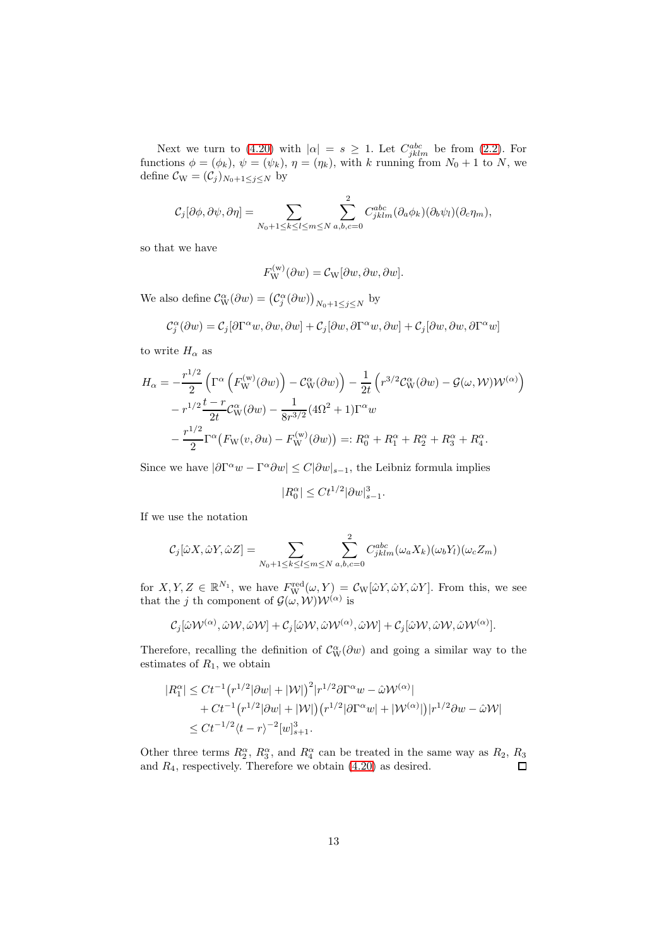Next we turn to [\(4.20\)](#page-11-2) with  $|\alpha| = s \geq 1$ . Let  $C_{jklm}^{abc}$  be from [\(2.2\)](#page-3-2). For functions  $\phi = (\phi_k)$ ,  $\psi = (\psi_k)$ ,  $\eta = (\eta_k)$ , with k running from  $N_0 + 1$  to N, we define  $C_{W} = (\mathcal{C}_{j})_{N_0+1 \leq j \leq N}$  by

$$
C_j[\partial \phi, \partial \psi, \partial \eta] = \sum_{N_0 + 1 \le k \le l \le m \le N} \sum_{a,b,c=0}^2 C_{jklm}^{abc} (\partial_a \phi_k)(\partial_b \psi_l)(\partial_c \eta_m),
$$

so that we have

$$
F_{\mathbf{W}}^{(\mathbf{w})}(\partial w) = \mathcal{C}_{\mathbf{W}}[\partial w, \partial w, \partial w].
$$

We also define  $\mathcal{C}_{\mathrm{W}}^{\alpha}(\partial w) = (\mathcal{C}_{j}^{\alpha}(\partial w))_{N_0+1 \leq j \leq N}$  by

$$
\mathcal{C}_{j}^{\alpha}(\partial w) = \mathcal{C}_{j}[\partial \Gamma^{\alpha} w, \partial w, \partial w] + \mathcal{C}_{j}[\partial w, \partial \Gamma^{\alpha} w, \partial w] + \mathcal{C}_{j}[\partial w, \partial w, \partial \Gamma^{\alpha} w]
$$

to write  $H_{\alpha}$  as

$$
H_{\alpha} = -\frac{r^{1/2}}{2} \left( \Gamma^{\alpha} \left( F_{\mathbf{W}}^{(\mathbf{w})} (\partial w) \right) - \mathcal{C}_{\mathbf{W}}^{\alpha} (\partial w) \right) - \frac{1}{2t} \left( r^{3/2} \mathcal{C}_{\mathbf{W}}^{\alpha} (\partial w) - \mathcal{G}(\omega, \mathcal{W}) \mathcal{W}^{(\alpha)} \right) - r^{1/2} \frac{t - r}{2t} \mathcal{C}_{\mathbf{W}}^{\alpha} (\partial w) - \frac{1}{8r^{3/2}} (4\Omega^2 + 1) \Gamma^{\alpha} w - \frac{r^{1/2}}{2} \Gamma^{\alpha} \left( F_{\mathbf{W}}(v, \partial u) - F_{\mathbf{W}}^{(\mathbf{w})} (\partial w) \right) =: R_0^{\alpha} + R_1^{\alpha} + R_2^{\alpha} + R_3^{\alpha} + R_4^{\alpha}.
$$

Since we have  $|\partial \Gamma^{\alpha} w - \Gamma^{\alpha} \partial w| \leq C |\partial w|_{s-1}$ , the Leibniz formula implies

$$
|R_0^{\alpha}| \le Ct^{1/2} |\partial w|_{s-1}^3.
$$

If we use the notation

$$
C_j[\hat{\omega}X,\hat{\omega}Y,\hat{\omega}Z] = \sum_{N_0+1 \le k \le l \le m \le N} \sum_{a,b,c=0}^{2} C_{jklm}^{abc} (\omega_a X_k)(\omega_b Y_l)(\omega_c Z_m)
$$

for  $X, Y, Z \in \mathbb{R}^{N_1}$ , we have  $F_{\mathbf{W}}^{\text{red}}(\omega, Y) = \mathcal{C}_{\mathbf{W}}[\hat{\omega}Y, \hat{\omega}Y, \hat{\omega}Y]$ . From this, we see that the j th component of  $\mathcal{G}(\omega, \mathcal{W})\mathcal{W}^{(\alpha)}$  is

$$
\mathcal{C}_j[\hat{\omega}\mathcal{W}^{(\alpha)},\hat{\omega}\mathcal{W},\hat{\omega}\mathcal{W}]+\mathcal{C}_j[\hat{\omega}\mathcal{W},\hat{\omega}\mathcal{W}^{(\alpha)},\hat{\omega}\mathcal{W}]+\mathcal{C}_j[\hat{\omega}\mathcal{W},\hat{\omega}\mathcal{W},\hat{\omega}\mathcal{W}^{(\alpha)}].
$$

Therefore, recalling the definition of  $\mathcal{C}_{\mathrm{W}}^{\alpha}(\partial w)$  and going a similar way to the estimates of  $R_1$ , we obtain

$$
|R_1^{\alpha}| \leq Ct^{-1} (r^{1/2}|\partial w| + |\mathcal{W}|)^2 |r^{1/2}\partial \Gamma^{\alpha}w - \hat{\omega}\mathcal{W}^{(\alpha)}|
$$
  
+  $Ct^{-1} (r^{1/2}|\partial w| + |\mathcal{W}|) (r^{1/2}|\partial \Gamma^{\alpha}w| + |\mathcal{W}^{(\alpha)}|) |r^{1/2}\partial w - \hat{\omega}\mathcal{W}|$   
 $\leq Ct^{-1/2}\langle t - r \rangle^{-2} [w]_{s+1}^3.$ 

Other three terms  $R_2^{\alpha}$ ,  $R_3^{\alpha}$ , and  $R_4^{\alpha}$  can be treated in the same way as  $R_2$ ,  $R_3$ and  $R_4$ , respectively. Therefore we obtain  $(4.20)$  as desired.  $\Box$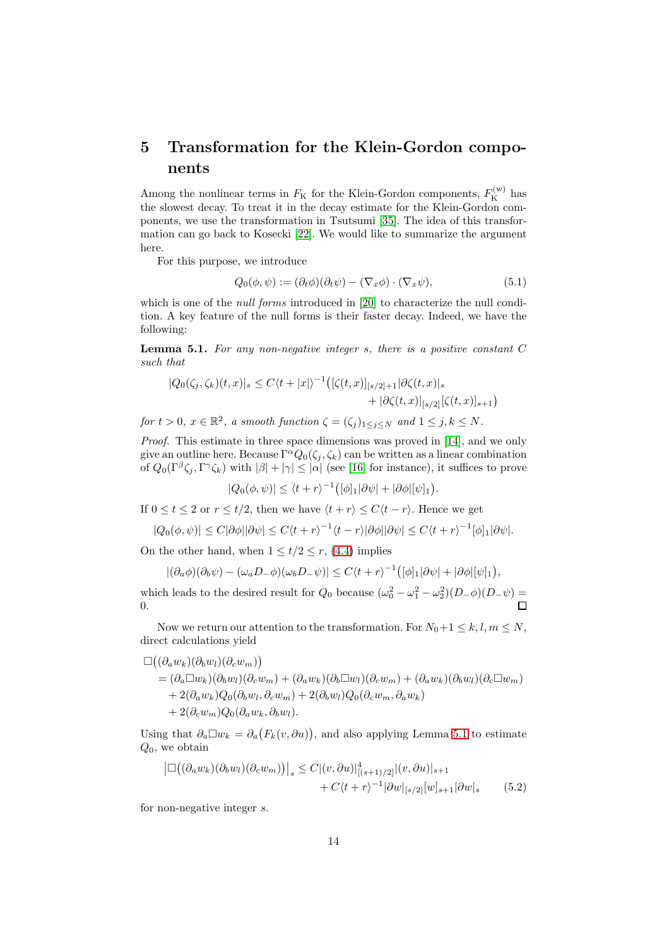## <span id="page-13-0"></span>5 Transformation for the Klein-Gordon components

Among the nonlinear terms in  $F_{\rm K}$  for the Klein-Gordon components,  $F_{\rm K}^{(\rm w)}$  has the slowest decay. To treat it in the decay estimate for the Klein-Gordon components, we use the transformation in Tsutsumi [\[35\]](#page-23-1). The idea of this transformation can go back to Kosecki [\[22\]](#page-22-12). We would like to summarize the argument here.

For this purpose, we introduce

$$
Q_0(\phi, \psi) := (\partial_t \phi)(\partial_t \psi) - (\nabla_x \phi) \cdot (\nabla_x \psi), \tag{5.1}
$$

which is one of the *null forms* introduced in [\[20\]](#page-22-1) to characterize the null condition. A key feature of the null forms is their faster decay. Indeed, we have the following:

<span id="page-13-1"></span>Lemma 5.1. *For any non-negative integer* s*, there is a positive constant* C *such that*

$$
|Q_0(\zeta_j, \zeta_k)(t, x)|_s \le C \langle t + |x| \rangle^{-1} ([\zeta(t, x)]_{[s/2]+1} | \partial \zeta(t, x)|_s + |\partial \zeta(t, x)|_{[s/2]} [\zeta(t, x)]_{s+1})
$$

*for*  $t > 0$ ,  $x \in \mathbb{R}^2$ , a smooth function  $\zeta = (\zeta_j)_{1 \leq j \leq N}$  and  $1 \leq j, k \leq N$ .

*Proof.* This estimate in three space dimensions was proved in [\[14\]](#page-21-6), and we only give an outline here. Because  $\Gamma^{\alpha}Q_0(\zeta_j, \zeta_k)$  can be written as a linear combination of  $Q_0(\Gamma^{\beta}\zeta_j, \Gamma^{\gamma}\zeta_k)$  with  $|\beta| + |\gamma| \leq |\alpha|$  (see [\[16\]](#page-21-14) for instance), it suffices to prove

$$
|Q_0(\phi,\psi)| \le \langle t+r\rangle^{-1} \big( [\phi]_1 |\partial \psi| + |\partial \phi| [\psi]_1 \big).
$$

If  $0 \le t \le 2$  or  $r \le t/2$ , then we have  $\langle t + r \rangle \le C \langle t - r \rangle$ . Hence we get

$$
|Q_0(\phi,\psi)| \le C|\partial\phi||\partial\psi| \le C\langle t+r\rangle^{-1}\langle t-r\rangle|\partial\phi||\partial\psi| \le C\langle t+r\rangle^{-1}[\phi]_1|\partial\psi|.
$$

On the other hand, when  $1 \le t/2 \le r$ , [\(4.4\)](#page-7-3) implies

$$
|(\partial_a \phi)(\partial_b \psi) - (\omega_a D_- \phi)(\omega_b D_- \psi)| \leq C \langle t + r \rangle^{-1} ( [\phi]_1 | \partial \psi| + |\partial \phi| [\psi]_1 ),
$$

which leads to the desired result for  $Q_0$  because  $(\omega_0^2 - \omega_1^2 - \omega_2^2)(D_-\phi)(D_-\psi) =$ 0.

Now we return our attention to the transformation. For  $N_0+1 \leq k, l, m \leq N$ , direct calculations yield

$$
\Box ((\partial_a w_k)(\partial_b w_l)(\partial_c w_m))
$$
  
=  $(\partial_a \Box w_k)(\partial_b w_l)(\partial_c w_m) + (\partial_a w_k)(\partial_b \Box w_l)(\partial_c w_m) + (\partial_a w_k)(\partial_b w_l)(\partial_c \Box w_m)$   
+  $2(\partial_a w_k)Q_0(\partial_b w_l, \partial_c w_m) + 2(\partial_b w_l)Q_0(\partial_c w_m, \partial_a w_k)$   
+  $2(\partial_c w_m)Q_0(\partial_a w_k, \partial_b w_l).$ 

Using that  $\partial_a \Box w_k = \partial_a (F_k(v, \partial u))$ , and also applying Lemma [5.1](#page-13-1) to estimate  $Q_0$ , we obtain

<span id="page-13-2"></span>
$$
\left| \Box \left( (\partial_a w_k)(\partial_b w_l)(\partial_c w_m) \right) \right|_s \leq C |(v, \partial u)|^4_{[(s+1)/2]} |(v, \partial u)|_{s+1} + C \langle t + r \rangle^{-1} |\partial w|_{[s/2]} [w]_{s+1} |\partial w|_s \qquad (5.2)
$$

for non-negative integer s.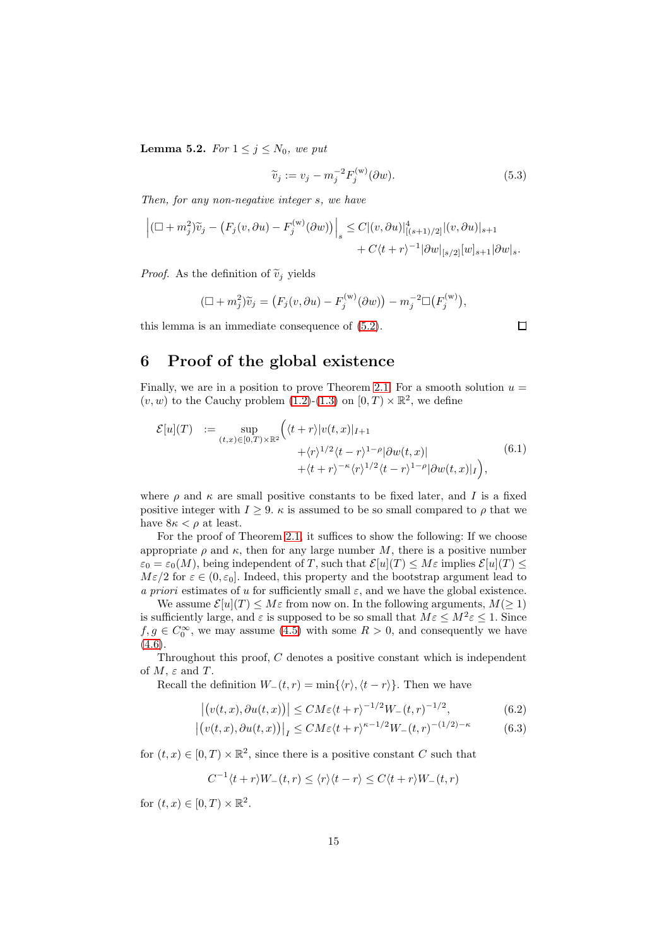<span id="page-14-3"></span>**Lemma 5.2.** *For*  $1 \leq j \leq N_0$ *, we put* 

$$
\widetilde{v}_j := v_j - m_j^{-2} F_j^{(w)}(\partial w).
$$
\n(5.3)

 $\Box$ 

*Then, for any non-negative integer* s*, we have*

$$
\left| \left( \Box + m_j^2 \right) \widetilde{v}_j - \left( F_j(v, \partial u) - F_j^{(w)}(\partial w) \right) \right|_s \leq C |(v, \partial u)|^4_{[(s+1)/2]} |(v, \partial u)|_{s+1} + C \langle t + r \rangle^{-1} |\partial w|_{[s/2]} [w]_{s+1} |\partial w|_s.
$$

*Proof.* As the definition of  $\tilde{v}_i$  yields

$$
(\Box + m_j^2)\widetilde{v}_j = (F_j(v, \partial u) - F_j^{(w)}(\partial w)) - m_j^{-2} \Box (F_j^{(w)}),
$$

this lemma is an immediate consequence of [\(5.2\)](#page-13-2).

## <span id="page-14-0"></span>6 Proof of the global existence

Finally, we are in a position to prove Theorem [2.1.](#page-3-1) For a smooth solution  $u =$  $(v,w)$  to the Cauchy problem [\(1.2\)](#page-0-1)-[\(1.3\)](#page-0-2) on  $[0,T)\times\mathbb{R}^2,$  we define

$$
\mathcal{E}[u](T) := \sup_{(t,x)\in[0,T)\times\mathbb{R}^2} \left( \langle t+r \rangle |v(t,x)|_{I+1} + \langle r \rangle^{1/2} \langle t-r \rangle^{1-\rho} |\partial w(t,x)| + \langle t+r \rangle^{-\kappa} \langle r \rangle^{1/2} \langle t-r \rangle^{1-\rho} |\partial w(t,x)|_{I} \right), \tag{6.1}
$$

where  $\rho$  and  $\kappa$  are small positive constants to be fixed later, and I is a fixed positive integer with  $I \geq 9$ .  $\kappa$  is assumed to be so small compared to  $\rho$  that we have  $8\kappa < \rho$  at least.

For the proof of Theorem [2.1,](#page-3-1) it suffices to show the following: If we choose appropriate  $\rho$  and  $\kappa$ , then for any large number M, there is a positive number  $\varepsilon_0 = \varepsilon_0(M)$ , being independent of T, such that  $\mathcal{E}[u](T) \leq M\varepsilon$  implies  $\mathcal{E}[u](T) \leq$  $M\varepsilon/2$  for  $\varepsilon \in (0,\varepsilon_0]$ . Indeed, this property and the bootstrap argument lead to *a priori* estimates of u for sufficiently small  $\varepsilon$ , and we have the global existence.

We assume  $\mathcal{E}[u](T) \leq M\varepsilon$  from now on. In the following arguments,  $M(\geq 1)$ is sufficiently large, and  $\varepsilon$  is supposed to be so small that  $M\varepsilon \leq M^2 \varepsilon \leq 1$ . Since  $f, g \in C_0^{\infty}$ , we may assume [\(4.5\)](#page-8-3) with some  $R > 0$ , and consequently we have  $(4.6).$  $(4.6).$ 

Throughout this proof, C denotes a positive constant which is independent of  $M$ ,  $\varepsilon$  and  $T$ .

Recall the definition  $W_-(t, r) = \min\{\langle r \rangle, \langle t - r \rangle\}.$  Then we have

$$
\left| \left( v(t,x), \partial u(t,x) \right) \right| \leq CM\varepsilon \langle t+r \rangle^{-1/2} W_-(t,r)^{-1/2}, \tag{6.2}
$$

$$
\left| \left( v(t,x), \partial u(t,x) \right) \right|_{I} \leq C M \varepsilon \langle t+r \rangle^{\kappa-1/2} W_{-}(t,r)^{-(1/2)-\kappa} \tag{6.3}
$$

for  $(t, x) \in [0, T) \times \mathbb{R}^2$ , since there is a positive constant C such that

<span id="page-14-2"></span><span id="page-14-1"></span>
$$
C^{-1}\langle t+r\rangle W_{-}(t,r)\leq \langle r\rangle\langle t-r\rangle\leq C\langle t+r\rangle W_{-}(t,r)
$$

for  $(t, x) \in [0, T) \times \mathbb{R}^2$ .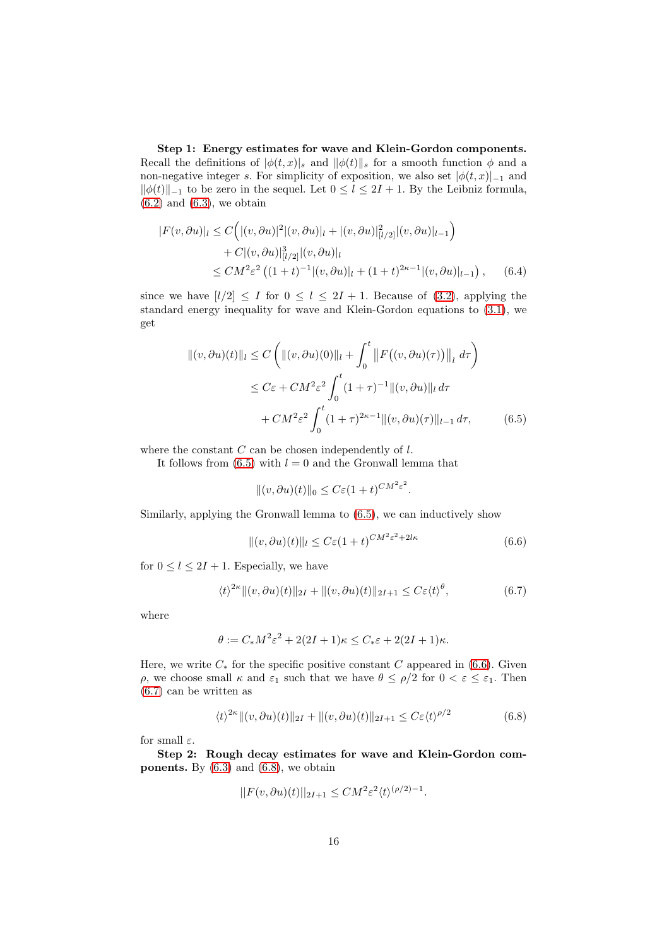Step 1: Energy estimates for wave and Klein-Gordon components. Recall the definitions of  $|\phi(t,x)|_s$  and  $||\phi(t)||_s$  for a smooth function  $\phi$  and a non-negative integer s. For simplicity of exposition, we also set  $|\phi(t, x)|_{-1}$  and  $\|\phi(t)\|_{-1}$  to be zero in the sequel. Let  $0 \le l \le 2I + 1$ . By the Leibniz formula,  $(6.2)$  and  $(6.3)$ , we obtain

$$
|F(v, \partial u)|_{l} \le C\Big(|(v, \partial u)|^{2}|(v, \partial u)|_{l} + |(v, \partial u)|_{[l/2]}^{2}|(v, \partial u)|_{l-1}\Big) + C|(v, \partial u)|_{[l/2]}^{3}|(v, \partial u)|_{l} \le CM^{2}\varepsilon^{2}\left((1+t)^{-1}|(v, \partial u)|_{l} + (1+t)^{2\kappa-1}|(v, \partial u)|_{l-1}\right), \quad (6.4)
$$

since we have  $[l/2] \leq I$  for  $0 \leq l \leq 2I + 1$ . Because of [\(3.2\)](#page-5-1), applying the standard energy inequality for wave and Klein-Gordon equations to [\(3.1\)](#page-5-2), we get

$$
\| (v, \partial u)(t) \|_{l} \le C \left( \| (v, \partial u)(0) \|_{l} + \int_{0}^{t} \| F((v, \partial u)(\tau)) \|_{l} d\tau \right)
$$
  

$$
\le C\varepsilon + CM^{2}\varepsilon^{2} \int_{0}^{t} (1+\tau)^{-1} \| (v, \partial u) \|_{l} d\tau
$$
  

$$
+ CM^{2}\varepsilon^{2} \int_{0}^{t} (1+\tau)^{2\kappa-1} \| (v, \partial u)(\tau) \|_{l-1} d\tau, \qquad (6.5)
$$

where the constant  $C$  can be chosen independently of  $l$ .

It follows from  $(6.5)$  with  $l = 0$  and the Gronwall lemma that

<span id="page-15-1"></span><span id="page-15-0"></span> $||(v, \partial u)(t)||_0 \leq C\varepsilon (1+t)^{CM^2\varepsilon^2}.$ 

Similarly, applying the Gronwall lemma to [\(6.5\)](#page-15-0), we can inductively show

<span id="page-15-2"></span>
$$
||(v, \partial u)(t)||_l \le C\varepsilon (1+t)^{CM^2\varepsilon^2 + 2l\kappa}
$$
\n(6.6)

for  $0 \leq l \leq 2I + 1$ . Especially, we have

$$
\langle t \rangle^{2\kappa} \| (v, \partial u)(t) \|_{2I} + \| (v, \partial u)(t) \|_{2I+1} \leq C \varepsilon \langle t \rangle^{\theta}, \tag{6.7}
$$

where

$$
\theta := C_* M^2 \varepsilon^2 + 2(2I + 1)\kappa \le C_* \varepsilon + 2(2I + 1)\kappa.
$$

Here, we write  $C_*$  for the specific positive constant C appeared in [\(6.6\)](#page-15-1). Given ρ, we choose small κ and  $\varepsilon_1$  such that we have  $\theta \leq \rho/2$  for  $0 < \varepsilon \leq \varepsilon_1$ . Then [\(6.7\)](#page-15-2) can be written as

$$
\langle t \rangle^{2\kappa} \|(v, \partial u)(t)\|_{2I} + \|(v, \partial u)(t)\|_{2I+1} \le C\varepsilon \langle t \rangle^{\rho/2} \tag{6.8}
$$

for small  $\varepsilon$ .

Step 2: Rough decay estimates for wave and Klein-Gordon com**ponents.** By  $(6.3)$  and  $(6.8)$ , we obtain

<span id="page-15-3"></span>
$$
||F(v, \partial u)(t)||_{2I+1} \leq CM^2 \varepsilon^2 \langle t \rangle^{(\rho/2)-1}.
$$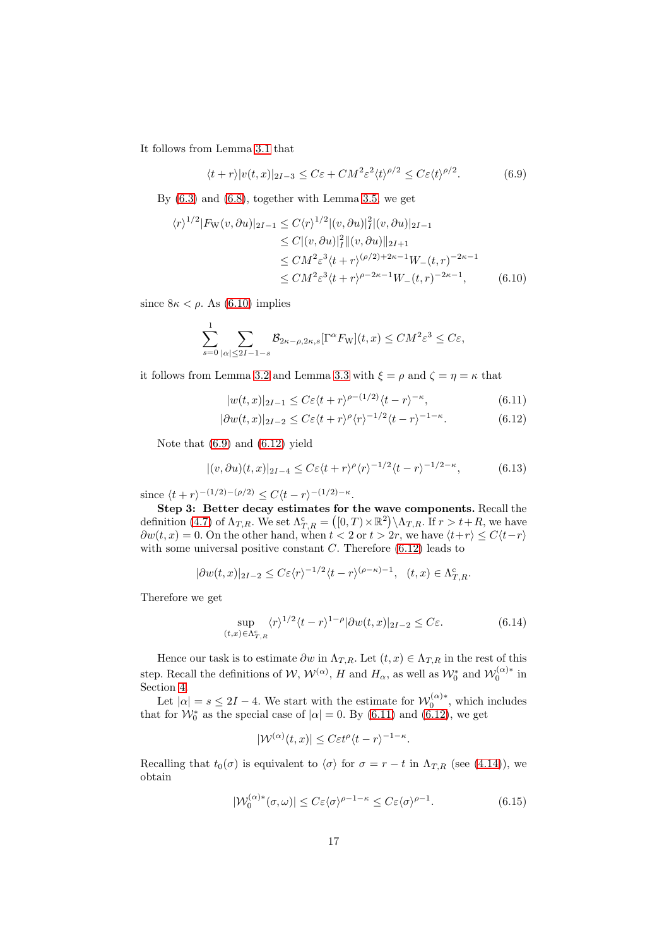It follows from Lemma [3.1](#page-5-3) that

<span id="page-16-1"></span>
$$
\langle t+r \rangle |v(t,x)|_{2I-3} \le C\varepsilon + CM^2 \varepsilon^2 \langle t \rangle^{\rho/2} \le C\varepsilon \langle t \rangle^{\rho/2}.
$$
 (6.9)

By [\(6.3\)](#page-14-2) and [\(6.8\)](#page-15-3), together with Lemma [3.5,](#page-6-3) we get

$$
\langle r \rangle^{1/2} |F_{\mathcal{W}}(v, \partial u)|_{2I-1} \le C \langle r \rangle^{1/2} |(v, \partial u)|_I^2 |(v, \partial u)|_{2I-1}
$$
  
\n
$$
\le C |(v, \partial u)|_I^2 ||(v, \partial u)|_{2I+1}
$$
  
\n
$$
\le C M^2 \varepsilon^3 \langle t + r \rangle^{(\rho/2)+2\kappa-1} W_-(t, r)^{-2\kappa-1}
$$
  
\n
$$
\le C M^2 \varepsilon^3 \langle t + r \rangle^{\rho-2\kappa-1} W_-(t, r)^{-2\kappa-1}, \qquad (6.10)
$$

since  $8\kappa < \rho$ . As [\(6.10\)](#page-16-0) implies

$$
\sum_{s=0}^{1} \sum_{|\alpha| \le 2I-1-s} \mathcal{B}_{2\kappa-\rho,2\kappa,s}[\Gamma^{\alpha} F_{\mathcal{W}}](t,x) \le CM^2 \varepsilon^3 \le C\varepsilon,
$$

it follows from Lemma [3.2](#page-6-0) and Lemma [3.3](#page-6-1) with  $\xi = \rho$  and  $\zeta = \eta = \kappa$  that

<span id="page-16-4"></span><span id="page-16-3"></span><span id="page-16-2"></span><span id="page-16-0"></span>
$$
|w(t,x)|_{2I-1} \leq C\varepsilon \langle t+r \rangle^{\rho-(1/2)} \langle t-r \rangle^{-\kappa},\tag{6.11}
$$

$$
|\partial w(t,x)|_{2I-2} \le C\varepsilon \langle t+r \rangle^{\rho} \langle r \rangle^{-1/2} \langle t-r \rangle^{-1-\kappa}.
$$
 (6.12)

Note that [\(6.9\)](#page-16-1) and [\(6.12\)](#page-16-2) yield

$$
|(v,\partial u)(t,x)|_{2I-4} \leq C\varepsilon\langle t+r\rangle^{\rho}\langle r\rangle^{-1/2}\langle t-r\rangle^{-1/2-\kappa},\tag{6.13}
$$

since  $\langle t + r \rangle^{-(1/2)-(\rho/2)} \leq C \langle t - r \rangle^{-(1/2)-\kappa}.$ 

Step 3: Better decay estimates for the wave components. Recall the definition [\(4.7\)](#page-8-5) of  $\Lambda_{T,R}$ . We set  $\Lambda_{T,R}^c = ([0,T) \times \mathbb{R}^2) \setminus \Lambda_{T,R}$ . If  $r > t + R$ , we have  $\partial w(t, x) = 0.$  On the other hand, when  $t < 2$  or  $t > 2r$ , we have  $\langle t+r \rangle \leq C\langle t-r \rangle$ with some universal positive constant  $C$ . Therefore  $(6.12)$  leads to

$$
|\partial w(t,x)|_{2I-2} \leq C\varepsilon \langle r \rangle^{-1/2} \langle t-r \rangle^{(\rho-\kappa)-1}, \quad (t,x) \in \Lambda_{T,R}^c.
$$

Therefore we get

$$
\sup_{(t,x)\in\Lambda_{T,R}^c} \langle r \rangle^{1/2} \langle t-r \rangle^{1-\rho} |\partial w(t,x)|_{2I-2} \le C\varepsilon.
$$
 (6.14)

Hence our task is to estimate  $\partial w$  in  $\Lambda_{T,R}$ . Let  $(t, x) \in \Lambda_{T,R}$  in the rest of this step. Recall the definitions of  $W$ ,  $W^{(\alpha)}$ ,  $H$  and  $H_{\alpha}$ , as well as  $W_0^*$  and  $W_0^{(\alpha)*}$  in Section [4.](#page-7-0)

Let  $|\alpha| = s \leq 2I - 4$ . We start with the estimate for  $\mathcal{W}_0^{(\alpha)*}$ , which includes that for  $\mathcal{W}_0^*$  as the special case of  $|\alpha| = 0$ . By [\(6.11\)](#page-16-3) and [\(6.12\)](#page-16-2), we get

<span id="page-16-6"></span><span id="page-16-5"></span>
$$
|\mathcal{W}^{(\alpha)}(t,x)| \leq C \varepsilon t^{\rho} \langle t-r \rangle^{-1-\kappa}.
$$

Recalling that  $t_0(\sigma)$  is equivalent to  $\langle \sigma \rangle$  for  $\sigma = r - t$  in  $\Lambda_{T,R}$  (see [\(4.14\)](#page-8-6)), we obtain

$$
|\mathcal{W}_0^{(\alpha)*}(\sigma,\omega)| \le C\varepsilon \langle \sigma \rangle^{\rho-1-\kappa} \le C\varepsilon \langle \sigma \rangle^{\rho-1}.
$$
 (6.15)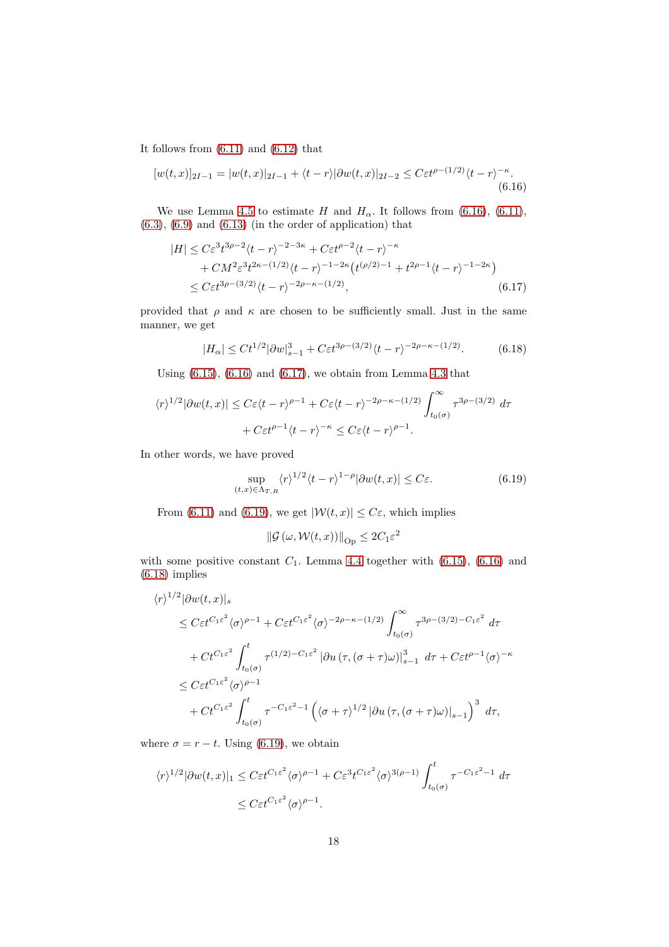It follows from  $(6.11)$  and  $(6.12)$  that

$$
[w(t,x)]_{2I-1} = |w(t,x)|_{2I-1} + \langle t-r \rangle |\partial w(t,x)|_{2I-2} \leq C \varepsilon t^{\rho-(1/2)} \langle t-r \rangle^{-\kappa}.
$$
\n(6.16)

We use Lemma [4.5](#page-11-0) to estimate H and  $H_{\alpha}$ . It follows from [\(6.16\)](#page-17-0), [\(6.11\)](#page-16-3),  $(6.3)$ ,  $(6.9)$  and  $(6.13)$  (in the order of application) that

<span id="page-17-0"></span>
$$
|H| \le C\varepsilon^3 t^{3\rho - 2} \langle t - r \rangle^{-2 - 3\kappa} + C\varepsilon t^{\rho - 2} \langle t - r \rangle^{-\kappa} + C M^2 \varepsilon^3 t^{2\kappa - (1/2)} \langle t - r \rangle^{-1 - 2\kappa} \left( t^{(\rho/2) - 1} + t^{2\rho - 1} \langle t - r \rangle^{-1 - 2\kappa} \right) \le C \varepsilon t^{3\rho - (3/2)} \langle t - r \rangle^{-2\rho - \kappa - (1/2)},
$$
(6.17)

provided that  $\rho$  and  $\kappa$  are chosen to be sufficiently small. Just in the same manner, we get

<span id="page-17-1"></span>
$$
|H_{\alpha}| \leq Ct^{1/2} |\partial w|_{s-1}^3 + C\varepsilon t^{3\rho - (3/2)} \langle t - r \rangle^{-2\rho - \kappa - (1/2)}. \tag{6.18}
$$

Using [\(6.15\)](#page-16-5), [\(6.16\)](#page-17-0) and [\(6.17\)](#page-17-1), we obtain from Lemma [4.3](#page-9-1) that

$$
\langle r \rangle^{1/2} |\partial w(t, x)| \le C \varepsilon \langle t - r \rangle^{\rho - 1} + C \varepsilon \langle t - r \rangle^{-2\rho - \kappa - (1/2)} \int_{t_0(\sigma)}^{\infty} \tau^{3\rho - (3/2)} d\tau
$$
  
+  $C \varepsilon t^{\rho - 1} \langle t - r \rangle^{-\kappa} \le C \varepsilon \langle t - r \rangle^{\rho - 1}.$ 

In other words, we have proved

<span id="page-17-3"></span>
$$
\sup_{(t,x)\in\Lambda_{T,R}} \langle r \rangle^{1/2} \langle t-r \rangle^{1-\rho} |\partial w(t,x)| \le C\varepsilon.
$$
 (6.19)

From [\(6.11\)](#page-16-3) and [\(6.19\)](#page-17-2), we get  $|\mathcal{W}(t,x)| \leq C\varepsilon$ , which implies

<span id="page-17-2"></span>
$$
\left\Vert \mathcal{G}\left(\omega,\mathcal{W}(t,x)\right)\right\Vert _{\mathrm{Op}}\le2C_{1}\varepsilon^{2}
$$

with some positive constant  $C_1$ . Lemma [4.4](#page-10-0) together with  $(6.15)$ ,  $(6.16)$  and  $(6.18)$  implies

$$
\langle r \rangle^{1/2} |\partial w(t, x)|_{s}
$$
  
\n
$$
\leq C \varepsilon t^{C_{1}\varepsilon^{2}} \langle \sigma \rangle^{\rho-1} + C \varepsilon t^{C_{1}\varepsilon^{2}} \langle \sigma \rangle^{-2\rho-\kappa-(1/2)} \int_{t_{0}(\sigma)}^{\infty} \tau^{3\rho-(3/2)-C_{1}\varepsilon^{2}} d\tau
$$
  
\n
$$
+ C t^{C_{1}\varepsilon^{2}} \int_{t_{0}(\sigma)}^{t} \tau^{(1/2)-C_{1}\varepsilon^{2}} |\partial u(\tau, (\sigma + \tau)\omega)|_{s-1}^{3} d\tau + C \varepsilon t^{\rho-1} \langle \sigma \rangle^{-\kappa}
$$
  
\n
$$
\leq C \varepsilon t^{C_{1}\varepsilon^{2}} \langle \sigma \rangle^{\rho-1}
$$
  
\n
$$
+ C t^{C_{1}\varepsilon^{2}} \int_{t_{0}(\sigma)}^{t} \tau^{-C_{1}\varepsilon^{2}-1} (\langle \sigma + \tau \rangle^{1/2} |\partial u(\tau, (\sigma + \tau)\omega)|_{s-1})^{3} d\tau,
$$

where  $\sigma = r - t$ . Using [\(6.19\)](#page-17-2), we obtain

$$
\langle r \rangle^{1/2} |\partial w(t, x)|_1 \leq C \varepsilon t^{C_1 \varepsilon^2} \langle \sigma \rangle^{\rho - 1} + C \varepsilon^3 t^{C_1 \varepsilon^2} \langle \sigma \rangle^{3(\rho - 1)} \int_{t_0(\sigma)}^t \tau^{-C_1 \varepsilon^2 - 1} d\tau
$$
  

$$
\leq C \varepsilon t^{C_1 \varepsilon^2} \langle \sigma \rangle^{\rho - 1}.
$$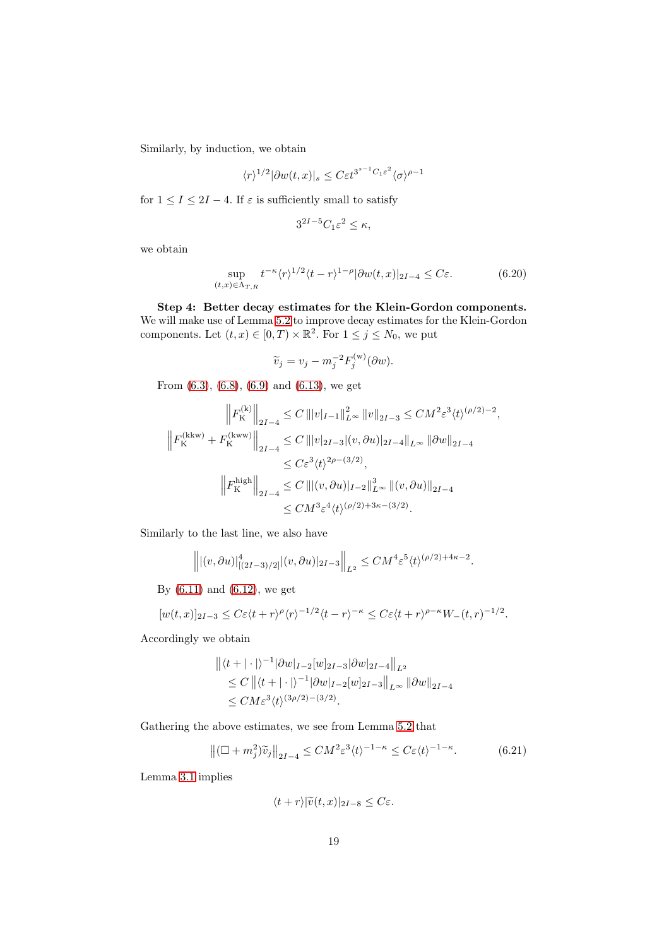Similarly, by induction, we obtain

$$
\langle r \rangle^{1/2} |\partial w(t,x)|_s \leq C \varepsilon t^{3^{s-1}C_1 \varepsilon^2} \langle \sigma \rangle^{\rho-1}
$$

for  $1 \leq I \leq 2I - 4$ . If  $\varepsilon$  is sufficiently small to satisfy

<span id="page-18-0"></span>
$$
3^{2I-5}C_1\varepsilon^2 \leq \kappa,
$$

we obtain

$$
\sup_{(t,x)\in\Lambda_{T,R}} t^{-\kappa} \langle r \rangle^{1/2} \langle t-r \rangle^{1-\rho} |\partial w(t,x)|_{2I-4} \le C\varepsilon.
$$
 (6.20)

Step 4: Better decay estimates for the Klein-Gordon components. We will make use of Lemma [5.2](#page-14-3) to improve decay estimates for the Klein-Gordon components. Let  $(t, x) \in [0, T) \times \mathbb{R}^2$ . For  $1 \le j \le N_0$ , we put

$$
\widetilde{v}_j = v_j - m_j^{-2} F_j^{(w)}(\partial w).
$$

From [\(6.3\)](#page-14-2), [\(6.8\)](#page-15-3), [\(6.9\)](#page-16-1) and [\(6.13\)](#page-16-4), we get

$$
\left\| F_{\mathcal{K}}^{(\mathbf{k})} \right\|_{2I-4} \leq C \left\| |v|_{I-1} \right\|_{L^{\infty}}^2 \|v\|_{2I-3} \leq CM^2 \varepsilon^3 \langle t \rangle^{(\rho/2)-2},
$$
  

$$
\left\| F_{\mathcal{K}}^{(\mathbf{k}\mathbf{k}\mathbf{w})} + F_{\mathcal{K}}^{(\mathbf{k}\mathbf{k}\mathbf{w})} \right\|_{2I-4} \leq C \left\| |v|_{2I-3} |(v, \partial u)|_{2I-4} \right\|_{L^{\infty}} \left\| \partial w \right\|_{2I-4}
$$
  

$$
\leq C \varepsilon^3 \langle t \rangle^{2\rho - (3/2)},
$$
  

$$
\left\| F_{\mathcal{K}}^{\mathbf{high}} \right\|_{2I-4} \leq C \left\| |(v, \partial u)|_{I-2} \right\|_{L^{\infty}}^3 \| (v, \partial u) \|_{2I-4}
$$
  

$$
\leq CM^3 \varepsilon^4 \langle t \rangle^{(\rho/2)+3\kappa - (3/2)}.
$$

Similarly to the last line, we also have

$$
\left\| |(v, \partial u)|^4_{[(2I-3)/2]} |(v, \partial u)|_{2I-3} \right\|_{L^2} \leq CM^4 \varepsilon^5 \langle t \rangle^{(\rho/2)+4\kappa-2}.
$$

By [\(6.11\)](#page-16-3) and [\(6.12\)](#page-16-2), we get

$$
[w(t,x)]_{2I-3} \leq C\varepsilon \langle t+r\rangle^{\rho} \langle r\rangle^{-1/2} \langle t-r\rangle^{-\kappa} \leq C\varepsilon \langle t+r\rangle^{\rho-\kappa} W_-(t,r)^{-1/2}.
$$

Accordingly we obtain

$$
\begin{aligned} &\left\| \langle t + |\cdot| \rangle^{-1} |\partial w|_{I-2} [w]_{2I-3} |\partial w|_{2I-4} \right\|_{L^2} \\ &\leq C \left\| \langle t + |\cdot| \rangle^{-1} |\partial w|_{I-2} [w]_{2I-3} \right\|_{L^\infty} \left\| \partial w \right\|_{2I-4} \\ &\leq C M \varepsilon^3 \langle t \rangle^{(3\rho/2)-(3/2)}. \end{aligned}
$$

Gathering the above estimates, we see from Lemma [5.2](#page-14-3) that

$$
\left\| (\Box + m_j^2) \widetilde{v}_j \right\|_{2I-4} \le C M^2 \varepsilon^3 \langle t \rangle^{-1-\kappa} \le C \varepsilon \langle t \rangle^{-1-\kappa}.
$$
 (6.21)

Lemma [3.1](#page-5-3) implies

<span id="page-18-1"></span>
$$
\langle t+r\rangle |\widetilde{v}(t,x)|_{2I-8}\leq C\varepsilon.
$$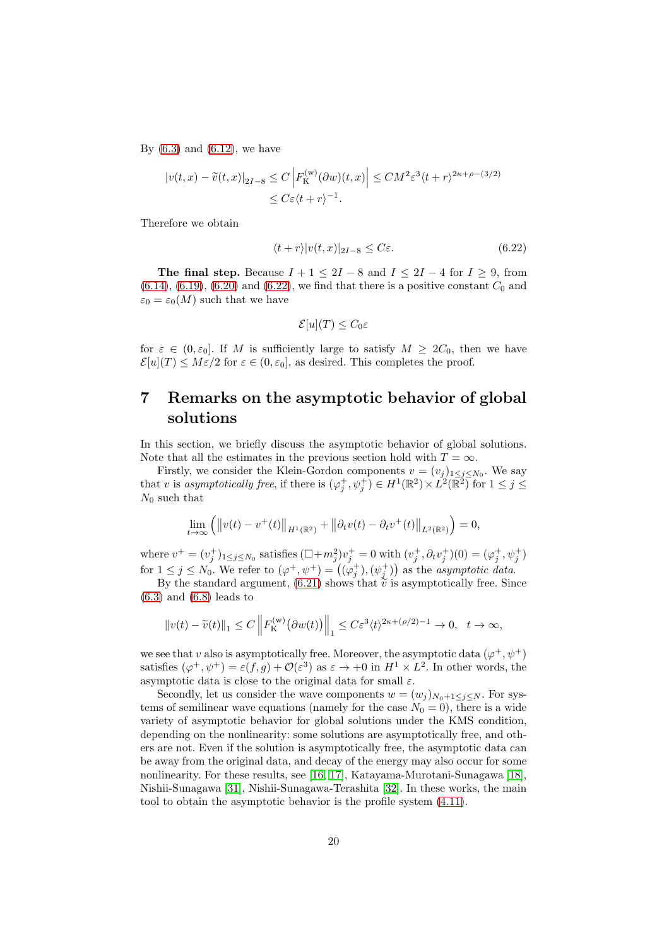By  $(6.3)$  and  $(6.12)$ , we have

$$
|v(t,x) - \widetilde{v}(t,x)|_{2I-8} \le C \left| F_{\mathcal{K}}^{(w)}(\partial w)(t,x) \right| \le CM^2 \varepsilon^3 \langle t+r \rangle^{2\kappa+\rho-(3/2)}
$$
  

$$
\le C\varepsilon \langle t+r \rangle^{-1}.
$$

Therefore we obtain

$$
\langle t+r \rangle |v(t,x)|_{2I-8} \leq C\varepsilon. \tag{6.22}
$$

The final step. Because  $I + 1 \leq 2I - 8$  and  $I \leq 2I - 4$  for  $I \geq 9$ , from  $(6.14)$ ,  $(6.19)$ ,  $(6.20)$  and  $(6.22)$ , we find that there is a positive constant  $C_0$  and  $\varepsilon_0 = \varepsilon_0(M)$  such that we have

<span id="page-19-1"></span>
$$
\mathcal{E}[u](T) \leq C_0 \varepsilon
$$

for  $\varepsilon \in (0, \varepsilon_0]$ . If M is sufficiently large to satisfy  $M \geq 2C_0$ , then we have  $\mathcal{E}[u](T) \leq M \varepsilon/2$  for  $\varepsilon \in (0, \varepsilon_0]$ , as desired. This completes the proof.

## <span id="page-19-0"></span>7 Remarks on the asymptotic behavior of global solutions

In this section, we briefly discuss the asymptotic behavior of global solutions. Note that all the estimates in the previous section hold with  $T = \infty$ .

Firstly, we consider the Klein-Gordon components  $v = (v_j)_{1 \leq j \leq N_0}$ . We say that v is asymptotically free, if there is  $(\varphi_j^+, \psi_j^+) \in H^1(\mathbb{R}^2) \times L^2(\mathbb{R}^2)$  for  $1 \leq j \leq$  $N_0$  such that

$$
\lim_{t \to \infty} (||v(t) - v^+(t)||_{H^1(\mathbb{R}^2)} + ||\partial_t v(t) - \partial_t v^+(t)||_{L^2(\mathbb{R}^2)}) = 0,
$$

where  $v^+ = (v_j^+)_{1 \le j \le N_0}$  satisfies  $(\Box + m_j^2)v_j^+ = 0$  with  $(v_j^+, \partial_t v_j^+)(0) = (\varphi_j^+, \psi_j^+)$ for  $1 \leq j \leq N_0$ . We refer to  $(\varphi^+, \psi^+) = ((\varphi_j^+), (\psi_j^+))$  as the *asymptotic data*.

By the standard argument, [\(6.21\)](#page-18-1) shows that  $\tilde{v}$  is asymptotically free. Since  $(6.3)$  and  $(6.8)$  leads to

$$
||v(t)-\widetilde{v}(t)||_1 \leq C \left||F_{\mathcal{K}}^{(w)}(\partial w(t))\right||_1 \leq C\varepsilon^3 \langle t \rangle^{2\kappa+(\rho/2)-1} \to 0, \quad t \to \infty,
$$

we see that v also is asymptotically free. Moreover, the asymptotic data  $(\varphi^+, \psi^+)$ satisfies  $(\varphi^+, \psi^+) = \varepsilon(f, g) + \mathcal{O}(\varepsilon^3)$  as  $\varepsilon \to +0$  in  $H^1 \times L^2$ . In other words, the asymptotic data is close to the original data for small  $\varepsilon$ .

Secondly, let us consider the wave components  $w = (w_j)_{N_0+1 \leq j \leq N}$ . For systems of semilinear wave equations (namely for the case  $N_0 = 0$ ), there is a wide variety of asymptotic behavior for global solutions under the KMS condition, depending on the nonlinearity: some solutions are asymptotically free, and others are not. Even if the solution is asymptotically free, the asymptotic data can be away from the original data, and decay of the energy may also occur for some nonlinearity. For these results, see [\[16,](#page-21-14) [17\]](#page-21-4), Katayama-Murotani-Sunagawa [\[18\]](#page-21-15), Nishii-Sunagawa [\[31\]](#page-22-13), Nishii-Sunagawa-Terashita [\[32\]](#page-22-14). In these works, the main tool to obtain the asymptotic behavior is the profile system [\(4.11\)](#page-8-1).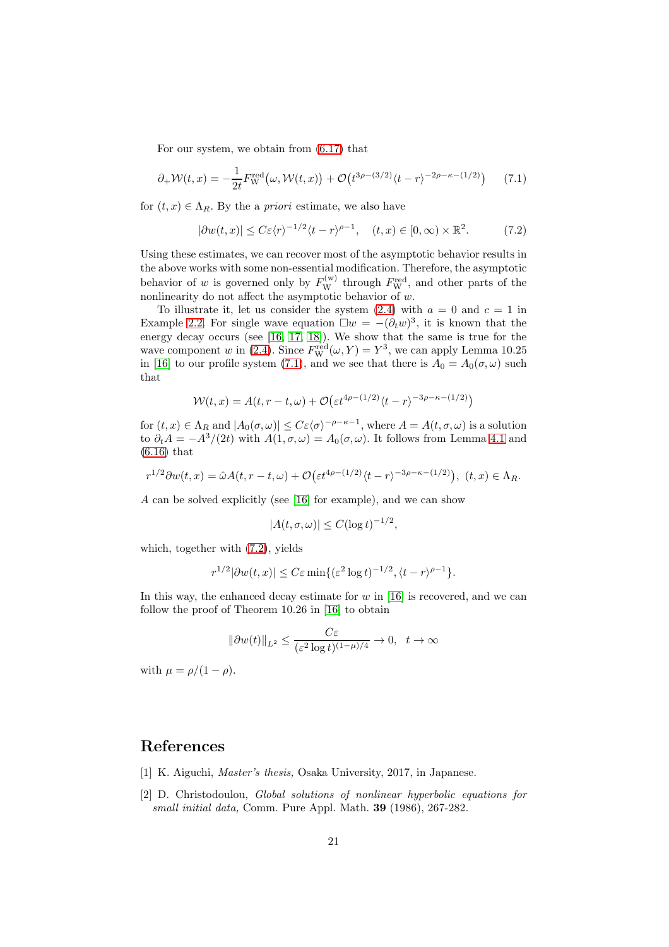For our system, we obtain from [\(6.17\)](#page-17-1) that

$$
\partial_+ \mathcal{W}(t,x) = -\frac{1}{2t} F_{\mathcal{W}}^{\text{red}}(\omega, \mathcal{W}(t,x)) + \mathcal{O}\left(t^{3\rho - (3/2)} \langle t-r \rangle^{-2\rho - \kappa - (1/2)}\right) \tag{7.1}
$$

for  $(t, x) \in \Lambda_R$ . By the a *priori* estimate, we also have

<span id="page-20-3"></span><span id="page-20-2"></span>
$$
|\partial w(t,x)| \le C\varepsilon \langle r \rangle^{-1/2} \langle t-r \rangle^{\rho-1}, \quad (t,x) \in [0,\infty) \times \mathbb{R}^2. \tag{7.2}
$$

Using these estimates, we can recover most of the asymptotic behavior results in the above works with some non-essential modification. Therefore, the asymptotic behavior of w is governed only by  $F_{\rm W}^{(\rm w)}$  through  $F_{\rm W}^{\rm red}$ , and other parts of the nonlinearity do not affect the asymptotic behavior of w.

To illustrate it, let us consider the system  $(2.4)$  with  $a = 0$  and  $c = 1$  in Example [2.2.](#page-4-2) For single wave equation  $\Box w = -(\partial_t w)^3$ , it is known that the energy decay occurs (see [\[16,](#page-21-14) [17,](#page-21-4) [18\]](#page-21-15)). We show that the same is true for the wave component w in [\(2.4\)](#page-4-1). Since  $F_{\rm W}^{\rm red}(\omega, Y) = Y^3$ , we can apply Lemma 10.25 in [\[16\]](#page-21-14) to our profile system [\(7.1\)](#page-20-2), and we see that there is  $A_0 = A_0(\sigma, \omega)$  such that

$$
W(t,x) = A(t,r-t,\omega) + \mathcal{O}\left(\varepsilon t^{4\rho - (1/2)}\langle t-r\rangle^{-3\rho - \kappa - (1/2)}\right)
$$

for  $(t, x) \in \Lambda_R$  and  $|A_0(\sigma, \omega)| \leq C \varepsilon \langle \sigma \rangle^{-\rho - \kappa - 1}$ , where  $A = A(t, \sigma, \omega)$  is a solution to  $\partial_t A = -A^3/(2t)$  with  $A(1, \sigma, \omega) = A_0(\sigma, \omega)$ . It follows from Lemma [4.1](#page-7-2) and [\(6.16\)](#page-17-0) that

$$
r^{1/2}\partial w(t,x)=\hat{\omega}A(t,r-t,\omega)+\mathcal{O}\big(\varepsilon t^{4\rho-(1/2)}\langle t-r\rangle^{-3\rho-\kappa-(1/2)}\big),\ (t,x)\in\Lambda_R.
$$

A can be solved explicitly (see [\[16\]](#page-21-14) for example), and we can show

$$
|A(t,\sigma,\omega)| \le C(\log t)^{-1/2},
$$

which, together with [\(7.2\)](#page-20-3), yields

$$
r^{1/2}|\partial w(t,x)| \le C\varepsilon \min\{(\varepsilon^2 \log t)^{-1/2}, \langle t-r \rangle^{\rho-1}\}.
$$

In this way, the enhanced decay estimate for  $w$  in [\[16\]](#page-21-14) is recovered, and we can follow the proof of Theorem 10.26 in [\[16\]](#page-21-14) to obtain

$$
\|\partial w(t)\|_{L^2}\leq \frac{C\varepsilon}{(\varepsilon^2\log t)^{(1-\mu)/4}}\to 0,\ \ t\to\infty
$$

with  $\mu = \rho/(1-\rho)$ .

## <span id="page-20-1"></span>References

- <span id="page-20-0"></span>[1] K. Aiguchi, *Master's thesis,* Osaka University, 2017, in Japanese.
- [2] D. Christodoulou, *Global solutions of nonlinear hyperbolic equations for small initial data,* Comm. Pure Appl. Math. 39 (1986), 267-282.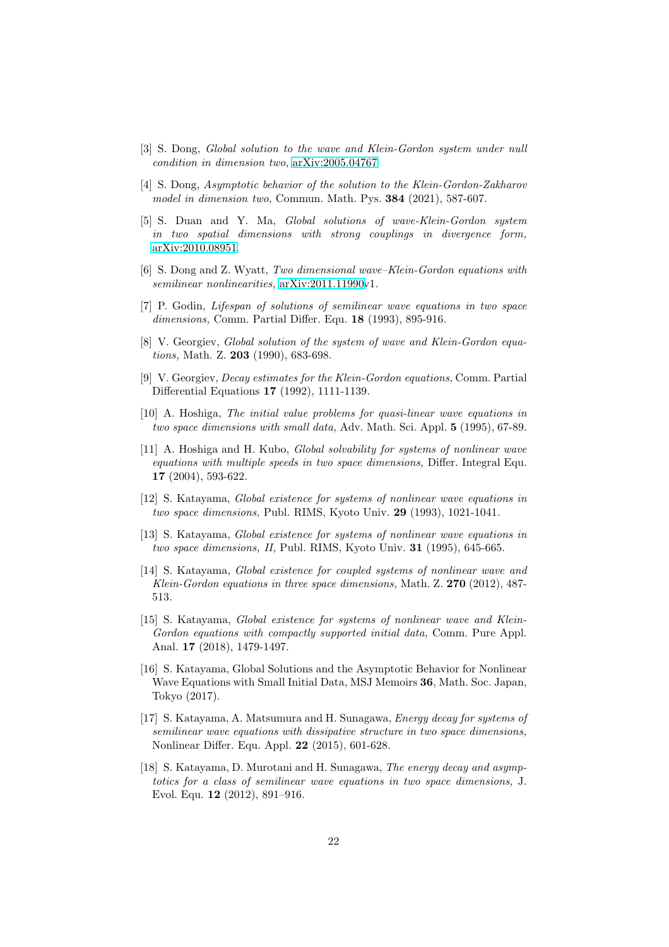- <span id="page-21-9"></span><span id="page-21-8"></span>[3] S. Dong, *Global solution to the wave and Klein-Gordon system under null condition in dimension two,* [arXiv:2005.04767.](http://arxiv.org/abs/2005.04767)
- [4] S. Dong, *Asymptotic behavior of the solution to the Klein-Gordon-Zakharov model in dimension two,* Commun. Math. Pys. 384 (2021), 587-607.
- <span id="page-21-10"></span>[5] S. Duan and Y. Ma, *Global solutions of wave-Klein-Gordon system in two spatial dimensions with strong couplings in divergence form,* [arXiv:2010.08951.](http://arxiv.org/abs/2010.08951)
- <span id="page-21-11"></span><span id="page-21-0"></span>[6] S. Dong and Z. Wyatt, *Two dimensional wave–Klein-Gordon equations with semilinear nonlinearities,* [arXiv:2011.11990v](http://arxiv.org/abs/2011.11990)1.
- [7] P. Godin, *Lifespan of solutions of semilinear wave equations in two space dimensions,* Comm. Partial Differ. Equ. 18 (1993), 895-916.
- <span id="page-21-5"></span>[8] V. Georgiev, *Global solution of the system of wave and Klein-Gordon equations,* Math. Z. 203 (1990), 683-698.
- <span id="page-21-12"></span>[9] V. Georgiev, *Decay estimates for the Klein-Gordon equations,* Comm. Partial Differential Equations 17 (1992), 1111-1139.
- <span id="page-21-1"></span>[10] A. Hoshiga, *The initial value problems for quasi-linear wave equations in two space dimensions with small data,* Adv. Math. Sci. Appl. 5 (1995), 67-89.
- <span id="page-21-13"></span>[11] A. Hoshiga and H. Kubo, *Global solvability for systems of nonlinear wave equations with multiple speeds in two space dimensions,* Differ. Integral Equ. 17 (2004), 593-622.
- <span id="page-21-2"></span>[12] S. Katayama, *Global existence for systems of nonlinear wave equations in two space dimensions,* Publ. RIMS, Kyoto Univ. 29 (1993), 1021-1041.
- <span id="page-21-3"></span>[13] S. Katayama, *Global existence for systems of nonlinear wave equations in two space dimensions, II,* Publ. RIMS, Kyoto Univ. 31 (1995), 645-665.
- <span id="page-21-6"></span>[14] S. Katayama, *Global existence for coupled systems of nonlinear wave and Klein-Gordon equations in three space dimensions,* Math. Z. 270 (2012), 487- 513.
- <span id="page-21-7"></span>[15] S. Katayama, *Global existence for systems of nonlinear wave and Klein-Gordon equations with compactly supported initial data,* Comm. Pure Appl. Anal. 17 (2018), 1479-1497.
- <span id="page-21-14"></span>[16] S. Katayama, Global Solutions and the Asymptotic Behavior for Nonlinear Wave Equations with Small Initial Data, MSJ Memoirs 36, Math. Soc. Japan, Tokyo (2017).
- <span id="page-21-4"></span>[17] S. Katayama, A. Matsumura and H. Sunagawa, *Energy decay for systems of semilinear wave equations with dissipative structure in two space dimensions,* Nonlinear Differ. Equ. Appl. 22 (2015), 601-628.
- <span id="page-21-15"></span>[18] S. Katayama, D. Murotani and H. Sunagawa, *The energy decay and asymptotics for a class of semilinear wave equations in two space dimensions,* J. Evol. Equ. 12 (2012), 891–916.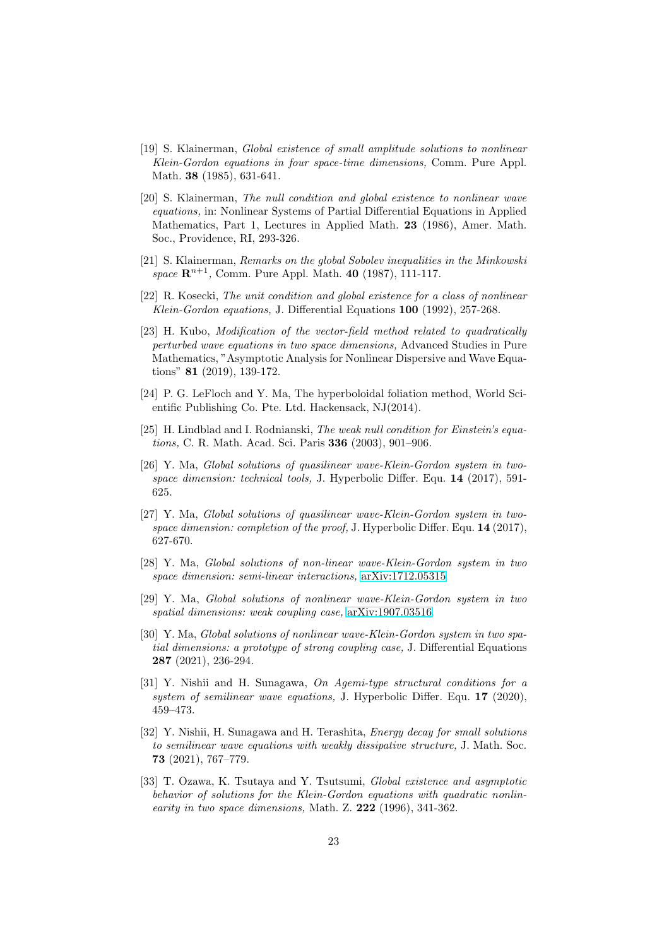- <span id="page-22-9"></span>[19] S. Klainerman, *Global existence of small amplitude solutions to nonlinear Klein-Gordon equations in four space-time dimensions,* Comm. Pure Appl. Math. 38 (1985), 631-641.
- <span id="page-22-1"></span>[20] S. Klainerman, *The null condition and global existence to nonlinear wave equations,* in: Nonlinear Systems of Partial Differential Equations in Applied Mathematics, Part 1, Lectures in Applied Math. 23 (1986), Amer. Math. Soc., Providence, RI, 293-326.
- <span id="page-22-11"></span>[21] S. Klainerman, *Remarks on the global Sobolev inequalities in the Minkowski space*  $\mathbb{R}^{n+1}$ , Comm. Pure Appl. Math. 40 (1987), 111-117.
- <span id="page-22-12"></span>[22] R. Kosecki, *The unit condition and global existence for a class of nonlinear Klein-Gordon equations,* J. Differential Equations 100 (1992), 257-268.
- <span id="page-22-10"></span>[23] H. Kubo, *Modification of the vector-field method related to quadratically perturbed wave equations in two space dimensions,* Advanced Studies in Pure Mathematics, "Asymptotic Analysis for Nonlinear Dispersive and Wave Equations" 81 (2019), 139-172.
- <span id="page-22-3"></span>[24] P. G. LeFloch and Y. Ma, The hyperboloidal foliation method, World Scientific Publishing Co. Pte. Ltd. Hackensack, NJ(2014).
- <span id="page-22-2"></span>[25] H. Lindblad and I. Rodnianski, *The weak null condition for Einstein's equations,* C. R. Math. Acad. Sci. Paris 336 (2003), 901–906.
- <span id="page-22-4"></span>[26] Y. Ma, *Global solutions of quasilinear wave-Klein-Gordon system in twospace dimension: technical tools,* J. Hyperbolic Differ. Equ. 14 (2017), 591- 625.
- <span id="page-22-5"></span>[27] Y. Ma, *Global solutions of quasilinear wave-Klein-Gordon system in twospace dimension: completion of the proof,* J. Hyperbolic Differ. Equ. 14 (2017), 627-670.
- <span id="page-22-6"></span>[28] Y. Ma, *Global solutions of non-linear wave-Klein-Gordon system in two space dimension: semi-linear interactions,* [arXiv:1712.05315.](http://arxiv.org/abs/1712.05315)
- <span id="page-22-7"></span>[29] Y. Ma, *Global solutions of nonlinear wave-Klein-Gordon system in two spatial dimensions: weak coupling case,* [arXiv:1907.03516.](http://arxiv.org/abs/1907.03516)
- <span id="page-22-8"></span>[30] Y. Ma, *Global solutions of nonlinear wave-Klein-Gordon system in two spatial dimensions: a prototype of strong coupling case,* J. Differential Equations 287 (2021), 236-294.
- <span id="page-22-13"></span>[31] Y. Nishii and H. Sunagawa, *On Agemi-type structural conditions for a system of semilinear wave equations,* J. Hyperbolic Differ. Equ. 17 (2020), 459–473.
- <span id="page-22-14"></span>[32] Y. Nishii, H. Sunagawa and H. Terashita, *Energy decay for small solutions to semilinear wave equations with weakly dissipative structure,* J. Math. Soc. 73 (2021), 767–779.
- <span id="page-22-0"></span>[33] T. Ozawa, K. Tsutaya and Y. Tsutsumi, *Global existence and asymptotic behavior of solutions for the Klein-Gordon equations with quadratic nonlinearity in two space dimensions,* Math. Z. 222 (1996), 341-362.